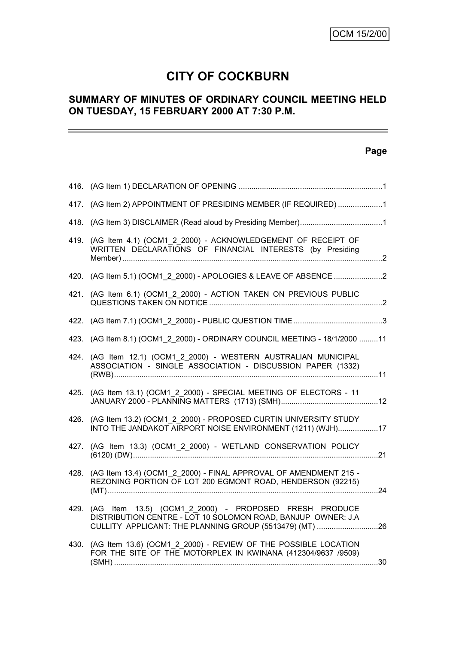# **CITY OF COCKBURN**

# **SUMMARY OF MINUTES OF ORDINARY COUNCIL MEETING HELD ON TUESDAY, 15 FEBRUARY 2000 AT 7:30 P.M.**

# **Page**

|      | 417. (AG Item 2) APPOINTMENT OF PRESIDING MEMBER (IF REQUIRED) 1                                                                                                                 |  |
|------|----------------------------------------------------------------------------------------------------------------------------------------------------------------------------------|--|
|      |                                                                                                                                                                                  |  |
| 419. | (AG Item 4.1) (OCM1 2 2000) - ACKNOWLEDGEMENT OF RECEIPT OF<br>WRITTEN DECLARATIONS OF FINANCIAL INTERESTS (by Presiding                                                         |  |
|      | 420. (AG Item 5.1) (OCM1 2 2000) - APOLOGIES & LEAVE OF ABSENCE 2                                                                                                                |  |
| 421. | (AG Item 6.1) (OCM1 2 2000) - ACTION TAKEN ON PREVIOUS PUBLIC                                                                                                                    |  |
|      |                                                                                                                                                                                  |  |
|      | 423. (AG Item 8.1) (OCM1 2 2000) - ORDINARY COUNCIL MEETING - 18/1/2000 11                                                                                                       |  |
|      | 424. (AG Item 12.1) (OCM1_2_2000) - WESTERN AUSTRALIAN MUNICIPAL<br>ASSOCIATION - SINGLE ASSOCIATION - DISCUSSION PAPER (1332)                                                   |  |
|      | 425. (AG Item 13.1) (OCM1_2_2000) - SPECIAL MEETING OF ELECTORS - 11                                                                                                             |  |
| 426. | (AG Item 13.2) (OCM1 2 2000) - PROPOSED CURTIN UNIVERSITY STUDY<br>INTO THE JANDAKOT AIRPORT NOISE ENVIRONMENT (1211) (WJH)17                                                    |  |
|      | 427. (AG Item 13.3) (OCM1 2 2000) - WETLAND CONSERVATION POLICY                                                                                                                  |  |
|      | 428. (AG Item 13.4) (OCM1 2 2000) - FINAL APPROVAL OF AMENDMENT 215 -<br>REZONING PORTION OF LOT 200 EGMONT ROAD, HENDERSON (92215)                                              |  |
| 429. | (AG Item 13.5) (OCM1_2_2000) - PROPOSED FRESH PRODUCE<br>DISTRIBUTION CENTRE - LOT 10 SOLOMON ROAD, BANJUP OWNER: J.A<br>CULLITY APPLICANT: THE PLANNING GROUP (5513479) (MT) 26 |  |
|      | 430. (AG Item 13.6) (OCM1_2_2000) - REVIEW OF THE POSSIBLE LOCATION<br>FOR THE SITE OF THE MOTORPLEX IN KWINANA (412304/9637 /9509)                                              |  |
|      |                                                                                                                                                                                  |  |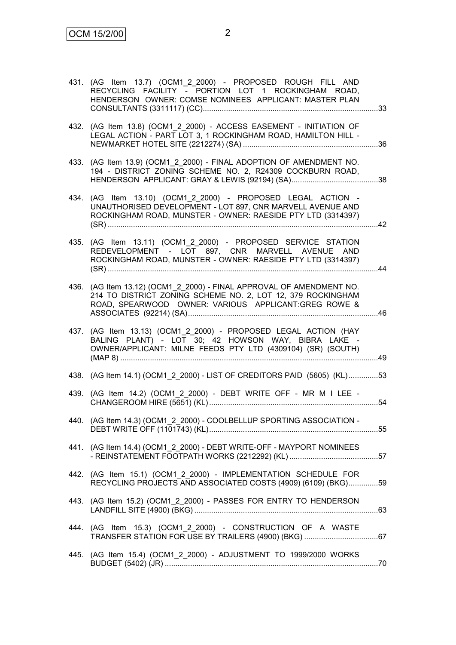|      | 431. (AG Item 13.7) (OCM1_2_2000) - PROPOSED ROUGH FILL AND<br>RECYCLING FACILITY - PORTION LOT 1 ROCKINGHAM ROAD,<br>HENDERSON OWNER: COMSE NOMINEES APPLICANT: MASTER PLAN                |  |
|------|---------------------------------------------------------------------------------------------------------------------------------------------------------------------------------------------|--|
|      | 432. (AG Item 13.8) (OCM1_2_2000) - ACCESS EASEMENT - INITIATION OF<br>LEGAL ACTION - PART LOT 3, 1 ROCKINGHAM ROAD, HAMILTON HILL -                                                        |  |
|      | 433. (AG Item 13.9) (OCM1_2_2000) - FINAL ADOPTION OF AMENDMENT NO.<br>194 - DISTRICT ZONING SCHEME NO. 2, R24309 COCKBURN ROAD,                                                            |  |
|      | 434. (AG Item 13.10) (OCM1 2 2000) - PROPOSED LEGAL ACTION -<br>UNAUTHORISED DEVELOPMENT - LOT 897, CNR MARVELL AVENUE AND<br>ROCKINGHAM ROAD, MUNSTER - OWNER: RAESIDE PTY LTD (3314397)   |  |
|      | 435. (AG Item 13.11) (OCM1_2_2000) - PROPOSED SERVICE STATION<br>REDEVELOPMENT - LOT 897, CNR MARVELL AVENUE AND<br>ROCKINGHAM ROAD, MUNSTER - OWNER: RAESIDE PTY LTD (3314397)             |  |
|      | 436. (AG Item 13.12) (OCM1 2 2000) - FINAL APPROVAL OF AMENDMENT NO.<br>214 TO DISTRICT ZONING SCHEME NO. 2, LOT 12, 379 ROCKINGHAM<br>ROAD, SPEARWOOD OWNER: VARIOUS APPLICANT:GREG ROWE & |  |
| 437. | (AG Item 13.13) (OCM1_2_2000) - PROPOSED LEGAL ACTION (HAY<br>BALING PLANT) - LOT 30; 42 HOWSON WAY, BIBRA LAKE -<br>OWNER/APPLICANT: MILNE FEEDS PTY LTD (4309104) (SR) (SOUTH)            |  |
|      | 438. (AG Item 14.1) (OCM1_2_2000) - LIST OF CREDITORS PAID (5605) (KL)53                                                                                                                    |  |
|      | 439. (AG Item 14.2) (OCM1_2_2000) - DEBT WRITE OFF - MR M I LEE -                                                                                                                           |  |
|      | 440. (AG Item 14.3) (OCM1_2_2000) - COOLBELLUP SPORTING ASSOCIATION                                                                                                                         |  |
|      | 441. (AG Item 14.4) (OCM1 2 2000) - DEBT WRITE-OFF - MAYPORT NOMINEES                                                                                                                       |  |
|      | 442. (AG Item 15.1) (OCM1 2 2000) - IMPLEMENTATION SCHEDULE FOR<br>RECYCLING PROJECTS AND ASSOCIATED COSTS (4909) (6109) (BKG)59                                                            |  |
|      | 443. (AG Item 15.2) (OCM1_2_2000) - PASSES FOR ENTRY TO HENDERSON                                                                                                                           |  |
|      | 444. (AG Item 15.3) (OCM1_2_2000) - CONSTRUCTION OF A WASTE                                                                                                                                 |  |
|      | 445. (AG Item 15.4) (OCM1_2_2000) - ADJUSTMENT TO 1999/2000 WORKS                                                                                                                           |  |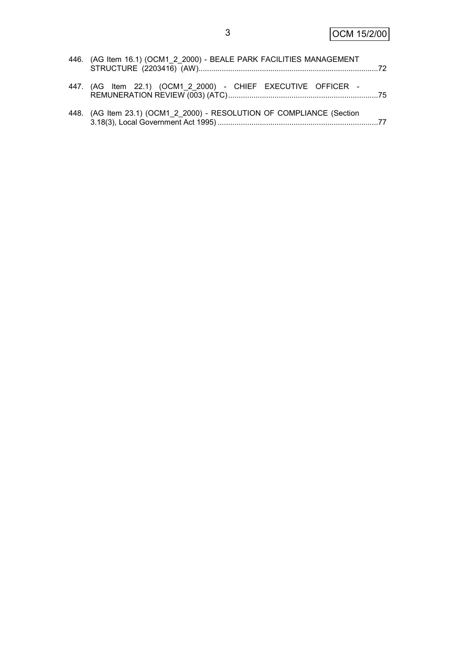| 446. (AG Item 16.1) (OCM1_2_2000) - BEALE PARK FACILITIES MANAGEMENT  |  |
|-----------------------------------------------------------------------|--|
| 447. (AG Item 22.1) (OCM1_2_2000) - CHIEF EXECUTIVE OFFICER -         |  |
| 448. (AG Item 23.1) (OCM1_2_2000) - RESOLUTION OF COMPLIANCE (Section |  |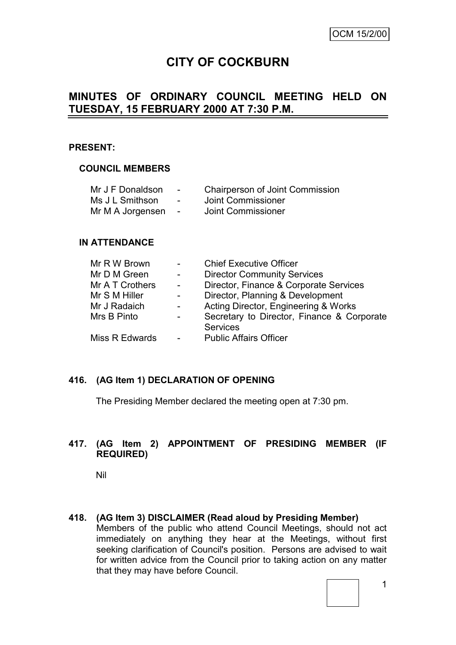# **CITY OF COCKBURN**

# **MINUTES OF ORDINARY COUNCIL MEETING HELD ON TUESDAY, 15 FEBRUARY 2000 AT 7:30 P.M.**

#### **PRESENT:**

#### **COUNCIL MEMBERS**

| Mr J F Donaldson | $\blacksquare$           | <b>Chairperson of Joint Commission</b> |
|------------------|--------------------------|----------------------------------------|
| Ms J L Smithson  | $\overline{\phantom{a}}$ | Joint Commissioner                     |
| Mr M A Jorgensen | $\sim$                   | Joint Commissioner                     |

#### **IN ATTENDANCE**

| Mr R W Brown    |                 | <b>Chief Executive Officer</b>                                |
|-----------------|-----------------|---------------------------------------------------------------|
| Mr D M Green    | $\sim$          | <b>Director Community Services</b>                            |
| Mr A T Crothers | $\sim 10^{-10}$ | Director, Finance & Corporate Services                        |
| Mr S M Hiller   | $\sim$          | Director, Planning & Development                              |
| Mr J Radaich    | $\sim$          | Acting Director, Engineering & Works                          |
| Mrs B Pinto     | $\sim$          | Secretary to Director, Finance & Corporate<br><b>Services</b> |
| Miss R Edwards  | $\sim 10^{-10}$ | <b>Public Affairs Officer</b>                                 |

### **416. (AG Item 1) DECLARATION OF OPENING**

The Presiding Member declared the meeting open at 7:30 pm.

### **417. (AG Item 2) APPOINTMENT OF PRESIDING MEMBER (IF REQUIRED)**

Nil

**418. (AG Item 3) DISCLAIMER (Read aloud by Presiding Member)** Members of the public who attend Council Meetings, should not act immediately on anything they hear at the Meetings, without first seeking clarification of Council's position. Persons are advised to wait for written advice from the Council prior to taking action on any matter that they may have before Council.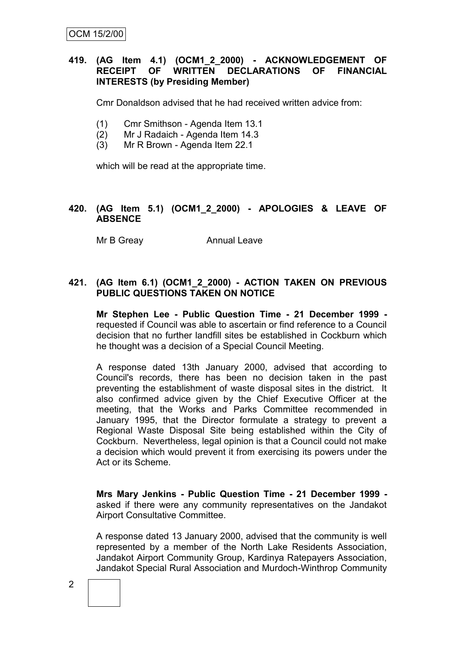# **419. (AG Item 4.1) (OCM1\_2\_2000) - ACKNOWLEDGEMENT OF RECEIPT OF WRITTEN DECLARATIONS OF FINANCIAL INTERESTS (by Presiding Member)**

Cmr Donaldson advised that he had received written advice from:

- (1) Cmr Smithson Agenda Item 13.1
- (2) Mr J Radaich Agenda Item 14.3
- (3) Mr R Brown Agenda Item 22.1

which will be read at the appropriate time.

#### **420. (AG Item 5.1) (OCM1\_2\_2000) - APOLOGIES & LEAVE OF ABSENCE**

Mr B Greay **Annual Leave** 

#### **421. (AG Item 6.1) (OCM1\_2\_2000) - ACTION TAKEN ON PREVIOUS PUBLIC QUESTIONS TAKEN ON NOTICE**

**Mr Stephen Lee - Public Question Time - 21 December 1999**  requested if Council was able to ascertain or find reference to a Council decision that no further landfill sites be established in Cockburn which he thought was a decision of a Special Council Meeting.

A response dated 13th January 2000, advised that according to Council's records, there has been no decision taken in the past preventing the establishment of waste disposal sites in the district. It also confirmed advice given by the Chief Executive Officer at the meeting, that the Works and Parks Committee recommended in January 1995, that the Director formulate a strategy to prevent a Regional Waste Disposal Site being established within the City of Cockburn. Nevertheless, legal opinion is that a Council could not make a decision which would prevent it from exercising its powers under the Act or its Scheme.

**Mrs Mary Jenkins - Public Question Time - 21 December 1999**  asked if there were any community representatives on the Jandakot Airport Consultative Committee.

A response dated 13 January 2000, advised that the community is well represented by a member of the North Lake Residents Association, Jandakot Airport Community Group, Kardinya Ratepayers Association, Jandakot Special Rural Association and Murdoch-Winthrop Community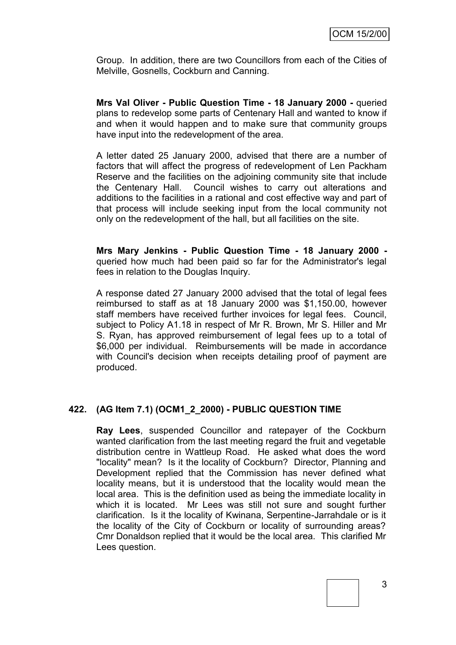Group. In addition, there are two Councillors from each of the Cities of Melville, Gosnells, Cockburn and Canning.

**Mrs Val Oliver - Public Question Time - 18 January 2000 -** queried plans to redevelop some parts of Centenary Hall and wanted to know if and when it would happen and to make sure that community groups have input into the redevelopment of the area.

A letter dated 25 January 2000, advised that there are a number of factors that will affect the progress of redevelopment of Len Packham Reserve and the facilities on the adjoining community site that include the Centenary Hall. Council wishes to carry out alterations and additions to the facilities in a rational and cost effective way and part of that process will include seeking input from the local community not only on the redevelopment of the hall, but all facilities on the site.

**Mrs Mary Jenkins - Public Question Time - 18 January 2000**  queried how much had been paid so far for the Administrator's legal fees in relation to the Douglas Inquiry.

A response dated 27 January 2000 advised that the total of legal fees reimbursed to staff as at 18 January 2000 was \$1,150.00, however staff members have received further invoices for legal fees. Council, subject to Policy A1.18 in respect of Mr R. Brown, Mr S. Hiller and Mr S. Ryan, has approved reimbursement of legal fees up to a total of \$6,000 per individual. Reimbursements will be made in accordance with Council's decision when receipts detailing proof of payment are produced.

# **422. (AG Item 7.1) (OCM1\_2\_2000) - PUBLIC QUESTION TIME**

**Ray Lees**, suspended Councillor and ratepayer of the Cockburn wanted clarification from the last meeting regard the fruit and vegetable distribution centre in Wattleup Road. He asked what does the word "locality" mean? Is it the locality of Cockburn? Director, Planning and Development replied that the Commission has never defined what locality means, but it is understood that the locality would mean the local area. This is the definition used as being the immediate locality in which it is located. Mr Lees was still not sure and sought further clarification. Is it the locality of Kwinana, Serpentine-Jarrahdale or is it the locality of the City of Cockburn or locality of surrounding areas? Cmr Donaldson replied that it would be the local area. This clarified Mr Lees question.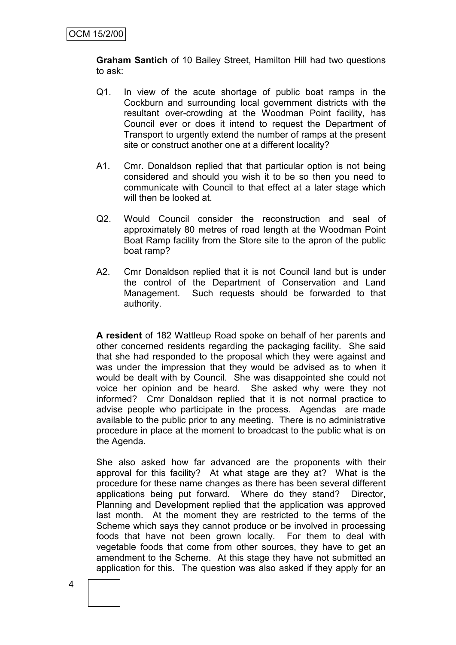**Graham Santich** of 10 Bailey Street, Hamilton Hill had two questions to ask:

- Q1. In view of the acute shortage of public boat ramps in the Cockburn and surrounding local government districts with the resultant over-crowding at the Woodman Point facility, has Council ever or does it intend to request the Department of Transport to urgently extend the number of ramps at the present site or construct another one at a different locality?
- A1. Cmr. Donaldson replied that that particular option is not being considered and should you wish it to be so then you need to communicate with Council to that effect at a later stage which will then be looked at.
- Q2. Would Council consider the reconstruction and seal of approximately 80 metres of road length at the Woodman Point Boat Ramp facility from the Store site to the apron of the public boat ramp?
- A2. Cmr Donaldson replied that it is not Council land but is under the control of the Department of Conservation and Land Management. Such requests should be forwarded to that authority.

**A resident** of 182 Wattleup Road spoke on behalf of her parents and other concerned residents regarding the packaging facility. She said that she had responded to the proposal which they were against and was under the impression that they would be advised as to when it would be dealt with by Council. She was disappointed she could not voice her opinion and be heard. She asked why were they not informed? Cmr Donaldson replied that it is not normal practice to advise people who participate in the process. Agendas are made available to the public prior to any meeting. There is no administrative procedure in place at the moment to broadcast to the public what is on the Agenda.

She also asked how far advanced are the proponents with their approval for this facility? At what stage are they at? What is the procedure for these name changes as there has been several different applications being put forward. Where do they stand? Director, Planning and Development replied that the application was approved last month. At the moment they are restricted to the terms of the Scheme which says they cannot produce or be involved in processing foods that have not been grown locally. For them to deal with vegetable foods that come from other sources, they have to get an amendment to the Scheme. At this stage they have not submitted an application for this. The question was also asked if they apply for an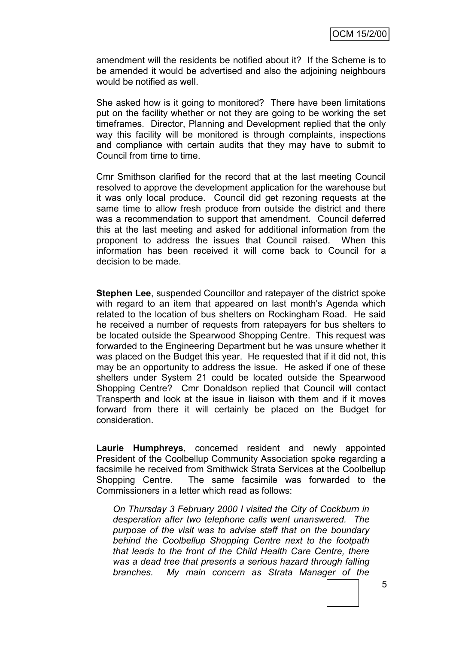amendment will the residents be notified about it? If the Scheme is to be amended it would be advertised and also the adjoining neighbours would be notified as well.

She asked how is it going to monitored? There have been limitations put on the facility whether or not they are going to be working the set timeframes. Director, Planning and Development replied that the only way this facility will be monitored is through complaints, inspections and compliance with certain audits that they may have to submit to Council from time to time.

Cmr Smithson clarified for the record that at the last meeting Council resolved to approve the development application for the warehouse but it was only local produce. Council did get rezoning requests at the same time to allow fresh produce from outside the district and there was a recommendation to support that amendment. Council deferred this at the last meeting and asked for additional information from the proponent to address the issues that Council raised. When this information has been received it will come back to Council for a decision to be made.

**Stephen Lee**, suspended Councillor and ratepayer of the district spoke with regard to an item that appeared on last month's Agenda which related to the location of bus shelters on Rockingham Road. He said he received a number of requests from ratepayers for bus shelters to be located outside the Spearwood Shopping Centre. This request was forwarded to the Engineering Department but he was unsure whether it was placed on the Budget this year. He requested that if it did not, this may be an opportunity to address the issue. He asked if one of these shelters under System 21 could be located outside the Spearwood Shopping Centre? Cmr Donaldson replied that Council will contact Transperth and look at the issue in liaison with them and if it moves forward from there it will certainly be placed on the Budget for consideration.

**Laurie Humphreys**, concerned resident and newly appointed President of the Coolbellup Community Association spoke regarding a facsimile he received from Smithwick Strata Services at the Coolbellup Shopping Centre. The same facsimile was forwarded to the Commissioners in a letter which read as follows:

*On Thursday 3 February 2000 I visited the City of Cockburn in desperation after two telephone calls went unanswered. The purpose of the visit was to advise staff that on the boundary behind the Coolbellup Shopping Centre next to the footpath that leads to the front of the Child Health Care Centre, there was a dead tree that presents a serious hazard through falling branches. My main concern as Strata Manager of the*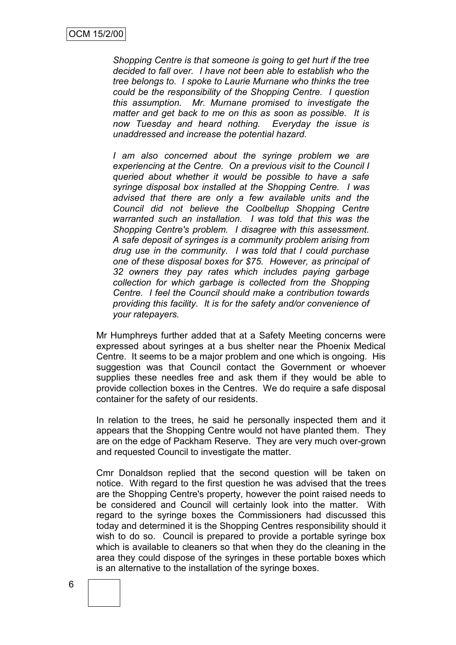*Shopping Centre is that someone is going to get hurt if the tree decided to fall over. I have not been able to establish who the tree belongs to. I spoke to Laurie Murnane who thinks the tree could be the responsibility of the Shopping Centre. I question this assumption. Mr. Murnane promised to investigate the matter and get back to me on this as soon as possible. It is now Tuesday and heard nothing. Everyday the issue is unaddressed and increase the potential hazard.*

*I am also concerned about the syringe problem we are experiencing at the Centre. On a previous visit to the Council I queried about whether it would be possible to have a safe syringe disposal box installed at the Shopping Centre. I was advised that there are only a few available units and the Council did not believe the Coolbellup Shopping Centre warranted such an installation. I was told that this was the Shopping Centre's problem. I disagree with this assessment. A safe deposit of syringes is a community problem arising from drug use in the community. I was told that I could purchase one of these disposal boxes for \$75. However, as principal of 32 owners they pay rates which includes paying garbage collection for which garbage is collected from the Shopping Centre. I feel the Council should make a contribution towards providing this facility. It is for the safety and/or convenience of your ratepayers.*

Mr Humphreys further added that at a Safety Meeting concerns were expressed about syringes at a bus shelter near the Phoenix Medical Centre. It seems to be a major problem and one which is ongoing. His suggestion was that Council contact the Government or whoever supplies these needles free and ask them if they would be able to provide collection boxes in the Centres. We do require a safe disposal container for the safety of our residents.

In relation to the trees, he said he personally inspected them and it appears that the Shopping Centre would not have planted them. They are on the edge of Packham Reserve. They are very much over-grown and requested Council to investigate the matter.

Cmr Donaldson replied that the second question will be taken on notice. With regard to the first question he was advised that the trees are the Shopping Centre's property, however the point raised needs to be considered and Council will certainly look into the matter. With regard to the syringe boxes the Commissioners had discussed this today and determined it is the Shopping Centres responsibility should it wish to do so. Council is prepared to provide a portable syringe box which is available to cleaners so that when they do the cleaning in the area they could dispose of the syringes in these portable boxes which is an alternative to the installation of the syringe boxes.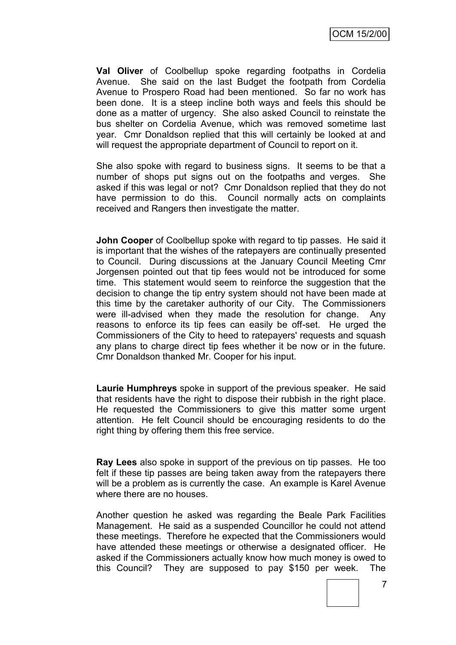**Val Oliver** of Coolbellup spoke regarding footpaths in Cordelia Avenue. She said on the last Budget the footpath from Cordelia Avenue to Prospero Road had been mentioned. So far no work has been done. It is a steep incline both ways and feels this should be done as a matter of urgency. She also asked Council to reinstate the bus shelter on Cordelia Avenue, which was removed sometime last year. Cmr Donaldson replied that this will certainly be looked at and will request the appropriate department of Council to report on it.

She also spoke with regard to business signs. It seems to be that a number of shops put signs out on the footpaths and verges. She asked if this was legal or not? Cmr Donaldson replied that they do not have permission to do this. Council normally acts on complaints received and Rangers then investigate the matter.

**John Cooper** of Coolbellup spoke with regard to tip passes. He said it is important that the wishes of the ratepayers are continually presented to Council. During discussions at the January Council Meeting Cmr Jorgensen pointed out that tip fees would not be introduced for some time. This statement would seem to reinforce the suggestion that the decision to change the tip entry system should not have been made at this time by the caretaker authority of our City. The Commissioners were ill-advised when they made the resolution for change. Any reasons to enforce its tip fees can easily be off-set. He urged the Commissioners of the City to heed to ratepayers' requests and squash any plans to charge direct tip fees whether it be now or in the future. Cmr Donaldson thanked Mr. Cooper for his input.

**Laurie Humphreys** spoke in support of the previous speaker. He said that residents have the right to dispose their rubbish in the right place. He requested the Commissioners to give this matter some urgent attention. He felt Council should be encouraging residents to do the right thing by offering them this free service.

**Ray Lees** also spoke in support of the previous on tip passes. He too felt if these tip passes are being taken away from the ratepayers there will be a problem as is currently the case. An example is Karel Avenue where there are no houses.

Another question he asked was regarding the Beale Park Facilities Management. He said as a suspended Councillor he could not attend these meetings. Therefore he expected that the Commissioners would have attended these meetings or otherwise a designated officer. He asked if the Commissioners actually know how much money is owed to this Council? They are supposed to pay \$150 per week. The

7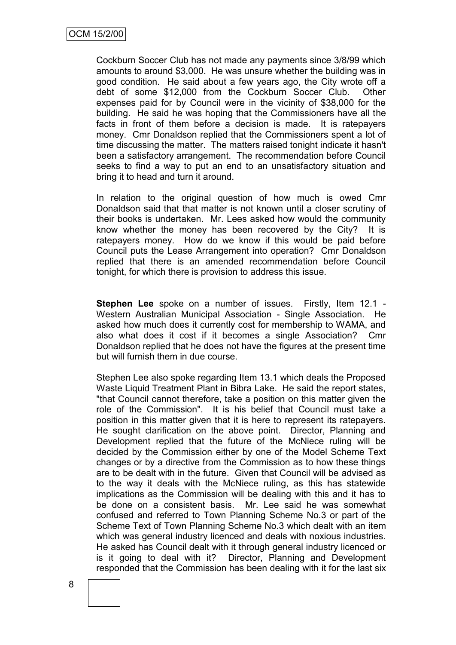Cockburn Soccer Club has not made any payments since 3/8/99 which amounts to around \$3,000. He was unsure whether the building was in good condition. He said about a few years ago, the City wrote off a debt of some \$12,000 from the Cockburn Soccer Club. Other expenses paid for by Council were in the vicinity of \$38,000 for the building. He said he was hoping that the Commissioners have all the facts in front of them before a decision is made. It is ratepayers money. Cmr Donaldson replied that the Commissioners spent a lot of time discussing the matter. The matters raised tonight indicate it hasn't been a satisfactory arrangement. The recommendation before Council seeks to find a way to put an end to an unsatisfactory situation and bring it to head and turn it around.

In relation to the original question of how much is owed Cmr Donaldson said that that matter is not known until a closer scrutiny of their books is undertaken. Mr. Lees asked how would the community know whether the money has been recovered by the City? It is ratepayers money. How do we know if this would be paid before Council puts the Lease Arrangement into operation? Cmr Donaldson replied that there is an amended recommendation before Council tonight, for which there is provision to address this issue.

**Stephen Lee** spoke on a number of issues. Firstly, Item 12.1 - Western Australian Municipal Association - Single Association. He asked how much does it currently cost for membership to WAMA, and also what does it cost if it becomes a single Association? Cmr Donaldson replied that he does not have the figures at the present time but will furnish them in due course.

Stephen Lee also spoke regarding Item 13.1 which deals the Proposed Waste Liquid Treatment Plant in Bibra Lake. He said the report states, "that Council cannot therefore, take a position on this matter given the role of the Commission". It is his belief that Council must take a position in this matter given that it is here to represent its ratepayers. He sought clarification on the above point. Director, Planning and Development replied that the future of the McNiece ruling will be decided by the Commission either by one of the Model Scheme Text changes or by a directive from the Commission as to how these things are to be dealt with in the future. Given that Council will be advised as to the way it deals with the McNiece ruling, as this has statewide implications as the Commission will be dealing with this and it has to be done on a consistent basis. Mr. Lee said he was somewhat confused and referred to Town Planning Scheme No.3 or part of the Scheme Text of Town Planning Scheme No.3 which dealt with an item which was general industry licenced and deals with noxious industries. He asked has Council dealt with it through general industry licenced or is it going to deal with it? Director, Planning and Development responded that the Commission has been dealing with it for the last six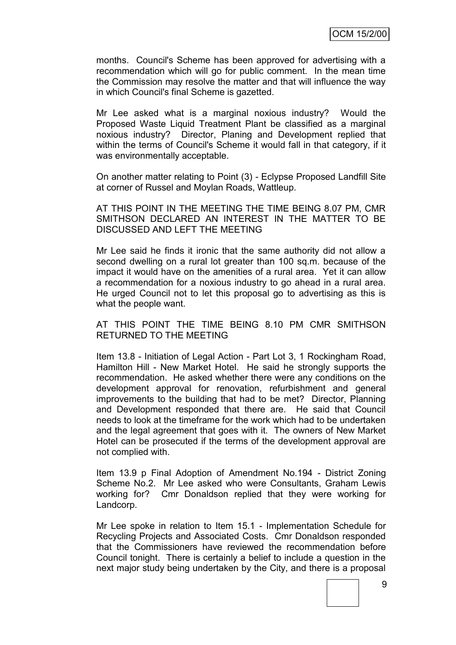months. Council's Scheme has been approved for advertising with a recommendation which will go for public comment. In the mean time the Commission may resolve the matter and that will influence the way in which Council's final Scheme is gazetted.

Mr Lee asked what is a marginal noxious industry? Would the Proposed Waste Liquid Treatment Plant be classified as a marginal noxious industry? Director, Planing and Development replied that within the terms of Council's Scheme it would fall in that category, if it was environmentally acceptable.

On another matter relating to Point (3) - Eclypse Proposed Landfill Site at corner of Russel and Moylan Roads, Wattleup.

AT THIS POINT IN THE MEETING THE TIME BEING 8.07 PM, CMR SMITHSON DECLARED AN INTEREST IN THE MATTER TO BE DISCUSSED AND LEFT THE MEETING

Mr Lee said he finds it ironic that the same authority did not allow a second dwelling on a rural lot greater than 100 sq.m. because of the impact it would have on the amenities of a rural area. Yet it can allow a recommendation for a noxious industry to go ahead in a rural area. He urged Council not to let this proposal go to advertising as this is what the people want.

AT THIS POINT THE TIME BEING 8.10 PM CMR SMITHSON RETURNED TO THE MEETING

Item 13.8 - Initiation of Legal Action - Part Lot 3, 1 Rockingham Road, Hamilton Hill - New Market Hotel. He said he strongly supports the recommendation. He asked whether there were any conditions on the development approval for renovation, refurbishment and general improvements to the building that had to be met? Director, Planning and Development responded that there are. He said that Council needs to look at the timeframe for the work which had to be undertaken and the legal agreement that goes with it. The owners of New Market Hotel can be prosecuted if the terms of the development approval are not complied with.

Item 13.9 p Final Adoption of Amendment No.194 - District Zoning Scheme No.2. Mr Lee asked who were Consultants, Graham Lewis working for? Cmr Donaldson replied that they were working for Landcorp.

Mr Lee spoke in relation to Item 15.1 - Implementation Schedule for Recycling Projects and Associated Costs. Cmr Donaldson responded that the Commissioners have reviewed the recommendation before Council tonight. There is certainly a belief to include a question in the next major study being undertaken by the City, and there is a proposal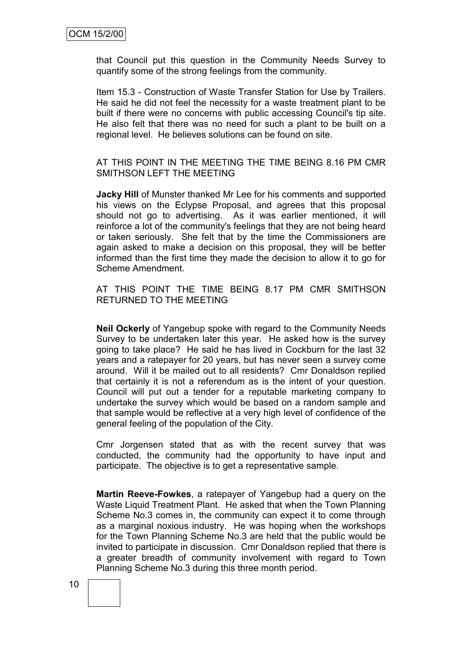that Council put this question in the Community Needs Survey to quantify some of the strong feelings from the community.

Item 15.3 - Construction of Waste Transfer Station for Use by Trailers. He said he did not feel the necessity for a waste treatment plant to be built if there were no concerns with public accessing Council's tip site. He also felt that there was no need for such a plant to be built on a regional level. He believes solutions can be found on site.

AT THIS POINT IN THE MEETING THE TIME BEING 8.16 PM CMR SMITHSON LEFT THE MEETING

**Jacky Hill** of Munster thanked Mr Lee for his comments and supported his views on the Eclypse Proposal, and agrees that this proposal should not go to advertising. As it was earlier mentioned, it will reinforce a lot of the community's feelings that they are not being heard or taken seriously. She felt that by the time the Commissioners are again asked to make a decision on this proposal, they will be better informed than the first time they made the decision to allow it to go for Scheme Amendment.

AT THIS POINT THE TIME BEING 8.17 PM CMR SMITHSON RETURNED TO THE MEETING

**Neil Ockerly** of Yangebup spoke with regard to the Community Needs Survey to be undertaken later this year. He asked how is the survey going to take place? He said he has lived in Cockburn for the last 32 years and a ratepayer for 20 years, but has never seen a survey come around. Will it be mailed out to all residents? Cmr Donaldson replied that certainly it is not a referendum as is the intent of your question. Council will put out a tender for a reputable marketing company to undertake the survey which would be based on a random sample and that sample would be reflective at a very high level of confidence of the general feeling of the population of the City.

Cmr Jorgensen stated that as with the recent survey that was conducted, the community had the opportunity to have input and participate. The objective is to get a representative sample.

**Martin Reeve-Fowkes**, a ratepayer of Yangebup had a query on the Waste Liquid Treatment Plant. He asked that when the Town Planning Scheme No.3 comes in, the community can expect it to come through as a marginal noxious industry. He was hoping when the workshops for the Town Planning Scheme No.3 are held that the public would be invited to participate in discussion. Cmr Donaldson replied that there is a greater breadth of community involvement with regard to Town Planning Scheme No.3 during this three month period.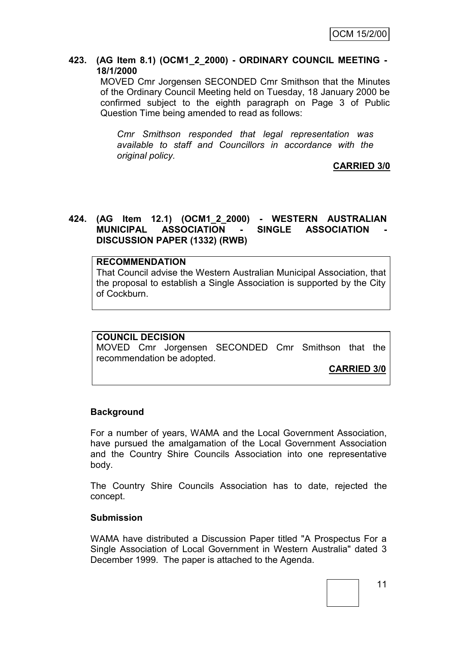#### **423. (AG Item 8.1) (OCM1\_2\_2000) - ORDINARY COUNCIL MEETING - 18/1/2000**

MOVED Cmr Jorgensen SECONDED Cmr Smithson that the Minutes of the Ordinary Council Meeting held on Tuesday, 18 January 2000 be confirmed subject to the eighth paragraph on Page 3 of Public Question Time being amended to read as follows:

*Cmr Smithson responded that legal representation was available to staff and Councillors in accordance with the original policy.*

**CARRIED 3/0**

# **424. (AG Item 12.1) (OCM1\_2\_2000) - WESTERN AUSTRALIAN MUNICIPAL ASSOCIATION - SINGLE ASSOCIATION - DISCUSSION PAPER (1332) (RWB)**

#### **RECOMMENDATION**

That Council advise the Western Australian Municipal Association, that the proposal to establish a Single Association is supported by the City of Cockburn.

### **COUNCIL DECISION**

MOVED Cmr Jorgensen SECONDED Cmr Smithson that the recommendation be adopted.

**CARRIED 3/0**

### **Background**

For a number of years, WAMA and the Local Government Association, have pursued the amalgamation of the Local Government Association and the Country Shire Councils Association into one representative body.

The Country Shire Councils Association has to date, rejected the concept.

#### **Submission**

WAMA have distributed a Discussion Paper titled "A Prospectus For a Single Association of Local Government in Western Australia" dated 3 December 1999. The paper is attached to the Agenda.

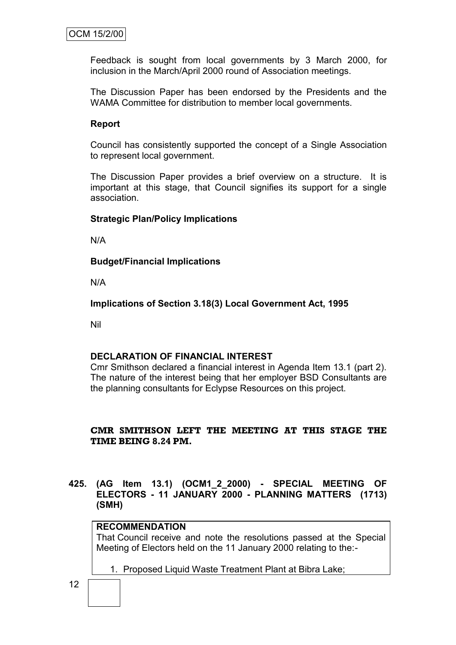Feedback is sought from local governments by 3 March 2000, for inclusion in the March/April 2000 round of Association meetings.

The Discussion Paper has been endorsed by the Presidents and the WAMA Committee for distribution to member local governments.

#### **Report**

Council has consistently supported the concept of a Single Association to represent local government.

The Discussion Paper provides a brief overview on a structure. It is important at this stage, that Council signifies its support for a single association.

#### **Strategic Plan/Policy Implications**

N/A

**Budget/Financial Implications**

N/A

**Implications of Section 3.18(3) Local Government Act, 1995**

Nil

#### **DECLARATION OF FINANCIAL INTEREST**

Cmr Smithson declared a financial interest in Agenda Item 13.1 (part 2). The nature of the interest being that her employer BSD Consultants are the planning consultants for Eclypse Resources on this project.

### **CMR SMITHSON LEFT THE MEETING AT THIS STAGE THE TIME BEING 8.24 PM.**

**425. (AG Item 13.1) (OCM1\_2\_2000) - SPECIAL MEETING OF ELECTORS - 11 JANUARY 2000 - PLANNING MATTERS (1713) (SMH)**

#### **RECOMMENDATION**

That Council receive and note the resolutions passed at the Special Meeting of Electors held on the 11 January 2000 relating to the:-

1. Proposed Liquid Waste Treatment Plant at Bibra Lake;

12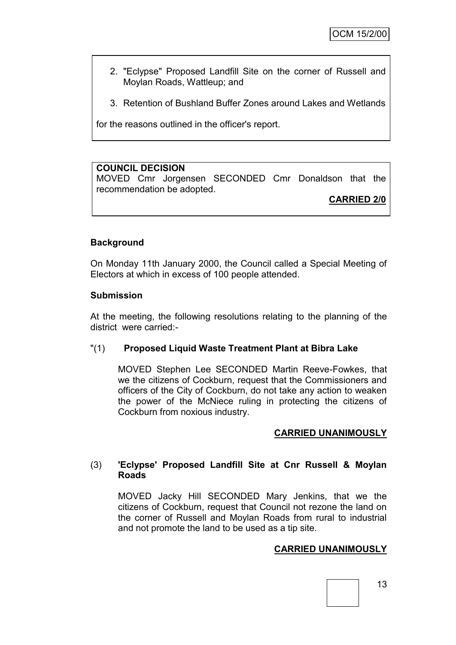- 2. "Eclypse" Proposed Landfill Site on the corner of Russell and Moylan Roads, Wattleup; and
- 3. Retention of Bushland Buffer Zones around Lakes and Wetlands

for the reasons outlined in the officer's report.

# **COUNCIL DECISION**

MOVED Cmr Jorgensen SECONDED Cmr Donaldson that the recommendation be adopted.

**CARRIED 2/0**

### **Background**

On Monday 11th January 2000, the Council called a Special Meeting of Electors at which in excess of 100 people attended.

#### **Submission**

At the meeting, the following resolutions relating to the planning of the district were carried:-

## "(1) **Proposed Liquid Waste Treatment Plant at Bibra Lake**

MOVED Stephen Lee SECONDED Martin Reeve-Fowkes, that we the citizens of Cockburn, request that the Commissioners and officers of the City of Cockburn, do not take any action to weaken the power of the McNiece ruling in protecting the citizens of Cockburn from noxious industry.

### **CARRIED UNANIMOUSLY**

### (3) **'Eclypse' Proposed Landfill Site at Cnr Russell & Moylan Roads**

MOVED Jacky Hill SECONDED Mary Jenkins, that we the citizens of Cockburn, request that Council not rezone the land on the corner of Russell and Moylan Roads from rural to industrial and not promote the land to be used as a tip site.

### **CARRIED UNANIMOUSLY**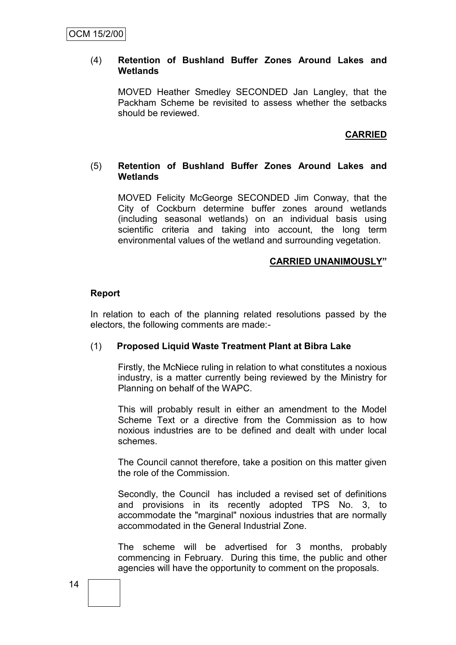#### (4) **Retention of Bushland Buffer Zones Around Lakes and Wetlands**

MOVED Heather Smedley SECONDED Jan Langley, that the Packham Scheme be revisited to assess whether the setbacks should be reviewed.

# **CARRIED**

#### (5) **Retention of Bushland Buffer Zones Around Lakes and Wetlands**

MOVED Felicity McGeorge SECONDED Jim Conway, that the City of Cockburn determine buffer zones around wetlands (including seasonal wetlands) on an individual basis using scientific criteria and taking into account, the long term environmental values of the wetland and surrounding vegetation.

#### **CARRIED UNANIMOUSLY"**

#### **Report**

In relation to each of the planning related resolutions passed by the electors, the following comments are made:-

### (1) **Proposed Liquid Waste Treatment Plant at Bibra Lake**

Firstly, the McNiece ruling in relation to what constitutes a noxious industry, is a matter currently being reviewed by the Ministry for Planning on behalf of the WAPC.

This will probably result in either an amendment to the Model Scheme Text or a directive from the Commission as to how noxious industries are to be defined and dealt with under local schemes.

The Council cannot therefore, take a position on this matter given the role of the Commission.

Secondly, the Council has included a revised set of definitions and provisions in its recently adopted TPS No. 3, to accommodate the "marginal" noxious industries that are normally accommodated in the General Industrial Zone.

The scheme will be advertised for 3 months, probably commencing in February. During this time, the public and other agencies will have the opportunity to comment on the proposals.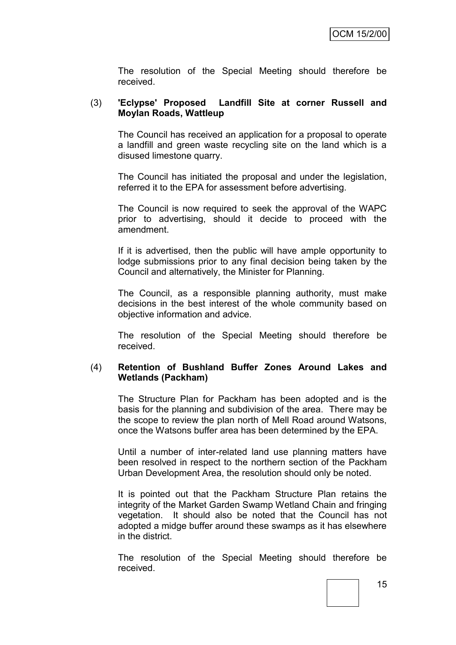The resolution of the Special Meeting should therefore be received.

## (3) **'Eclypse' Proposed Landfill Site at corner Russell and Moylan Roads, Wattleup**

The Council has received an application for a proposal to operate a landfill and green waste recycling site on the land which is a disused limestone quarry.

The Council has initiated the proposal and under the legislation, referred it to the EPA for assessment before advertising.

The Council is now required to seek the approval of the WAPC prior to advertising, should it decide to proceed with the amendment.

If it is advertised, then the public will have ample opportunity to lodge submissions prior to any final decision being taken by the Council and alternatively, the Minister for Planning.

The Council, as a responsible planning authority, must make decisions in the best interest of the whole community based on objective information and advice.

The resolution of the Special Meeting should therefore be received.

### (4) **Retention of Bushland Buffer Zones Around Lakes and Wetlands (Packham)**

The Structure Plan for Packham has been adopted and is the basis for the planning and subdivision of the area. There may be the scope to review the plan north of Mell Road around Watsons, once the Watsons buffer area has been determined by the EPA.

Until a number of inter-related land use planning matters have been resolved in respect to the northern section of the Packham Urban Development Area, the resolution should only be noted.

It is pointed out that the Packham Structure Plan retains the integrity of the Market Garden Swamp Wetland Chain and fringing vegetation. It should also be noted that the Council has not adopted a midge buffer around these swamps as it has elsewhere in the district.

The resolution of the Special Meeting should therefore be received.

15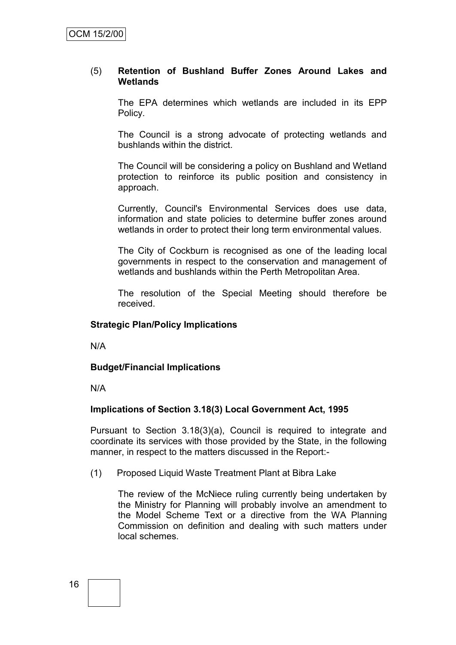### (5) **Retention of Bushland Buffer Zones Around Lakes and Wetlands**

The EPA determines which wetlands are included in its EPP Policy.

The Council is a strong advocate of protecting wetlands and bushlands within the district.

The Council will be considering a policy on Bushland and Wetland protection to reinforce its public position and consistency in approach.

Currently, Council's Environmental Services does use data, information and state policies to determine buffer zones around wetlands in order to protect their long term environmental values.

The City of Cockburn is recognised as one of the leading local governments in respect to the conservation and management of wetlands and bushlands within the Perth Metropolitan Area.

The resolution of the Special Meeting should therefore be received.

#### **Strategic Plan/Policy Implications**

N/A

#### **Budget/Financial Implications**

N/A

#### **Implications of Section 3.18(3) Local Government Act, 1995**

Pursuant to Section 3.18(3)(a), Council is required to integrate and coordinate its services with those provided by the State, in the following manner, in respect to the matters discussed in the Report:-

(1) Proposed Liquid Waste Treatment Plant at Bibra Lake

The review of the McNiece ruling currently being undertaken by the Ministry for Planning will probably involve an amendment to the Model Scheme Text or a directive from the WA Planning Commission on definition and dealing with such matters under local schemes.

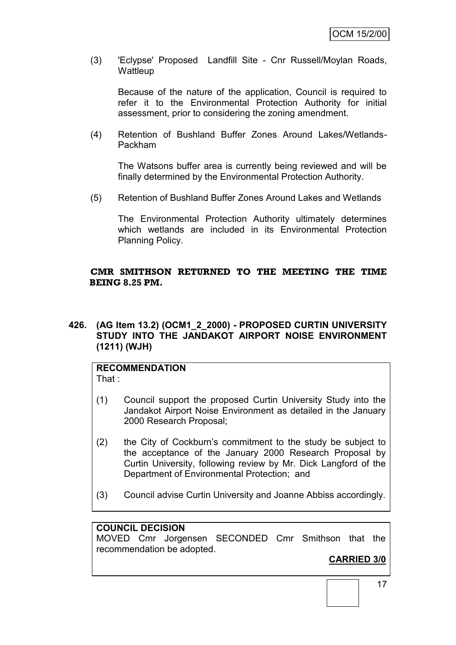(3) 'Eclypse' Proposed Landfill Site - Cnr Russell/Moylan Roads, **Wattleup** 

Because of the nature of the application, Council is required to refer it to the Environmental Protection Authority for initial assessment, prior to considering the zoning amendment.

(4) Retention of Bushland Buffer Zones Around Lakes/Wetlands-Packham

The Watsons buffer area is currently being reviewed and will be finally determined by the Environmental Protection Authority.

(5) Retention of Bushland Buffer Zones Around Lakes and Wetlands

The Environmental Protection Authority ultimately determines which wetlands are included in its Environmental Protection Planning Policy.

#### **CMR SMITHSON RETURNED TO THE MEETING THE TIME BEING 8.25 PM.**

**426. (AG Item 13.2) (OCM1\_2\_2000) - PROPOSED CURTIN UNIVERSITY STUDY INTO THE JANDAKOT AIRPORT NOISE ENVIRONMENT (1211) (WJH)**

# **RECOMMENDATION**

That :

- (1) Council support the proposed Curtin University Study into the Jandakot Airport Noise Environment as detailed in the January 2000 Research Proposal;
- (2) the City of Cockburn's commitment to the study be subject to the acceptance of the January 2000 Research Proposal by Curtin University, following review by Mr. Dick Langford of the Department of Environmental Protection; and
- (3) Council advise Curtin University and Joanne Abbiss accordingly.

### **COUNCIL DECISION**

MOVED Cmr Jorgensen SECONDED Cmr Smithson that the recommendation be adopted.

# **CARRIED 3/0**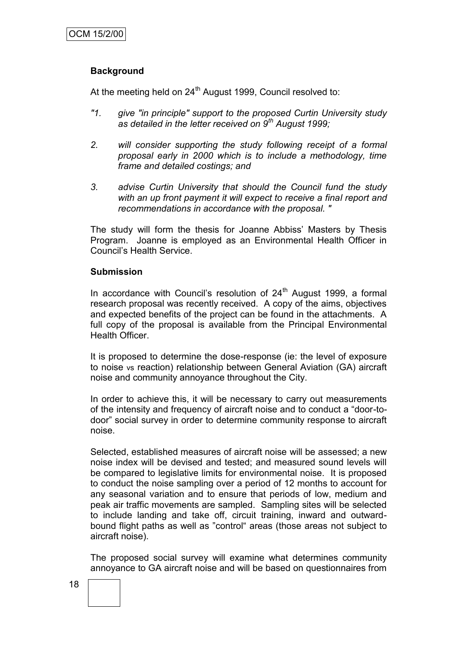# **Background**

At the meeting held on  $24<sup>th</sup>$  August 1999, Council resolved to:

- *"1. give "in principle" support to the proposed Curtin University study as detailed in the letter received on 9th August 1999;*
- *2. will consider supporting the study following receipt of a formal proposal early in 2000 which is to include a methodology, time frame and detailed costings; and*
- *3. advise Curtin University that should the Council fund the study*  with an up front payment it will expect to receive a final report and *recommendations in accordance with the proposal. "*

The study will form the thesis for Joanne Abbiss' Masters by Thesis Program. Joanne is employed as an Environmental Health Officer in Council's Health Service.

#### **Submission**

In accordance with Council's resolution of  $24<sup>th</sup>$  August 1999, a formal research proposal was recently received. A copy of the aims, objectives and expected benefits of the project can be found in the attachments. A full copy of the proposal is available from the Principal Environmental Health Officer.

It is proposed to determine the dose-response (ie: the level of exposure to noise vs reaction) relationship between General Aviation (GA) aircraft noise and community annoyance throughout the City.

In order to achieve this, it will be necessary to carry out measurements of the intensity and frequency of aircraft noise and to conduct a "door-todoor" social survey in order to determine community response to aircraft noise.

Selected, established measures of aircraft noise will be assessed; a new noise index will be devised and tested; and measured sound levels will be compared to legislative limits for environmental noise. It is proposed to conduct the noise sampling over a period of 12 months to account for any seasonal variation and to ensure that periods of low, medium and peak air traffic movements are sampled. Sampling sites will be selected to include landing and take off, circuit training, inward and outwardbound flight paths as well as "control" areas (those areas not subject to aircraft noise).

The proposed social survey will examine what determines community annoyance to GA aircraft noise and will be based on questionnaires from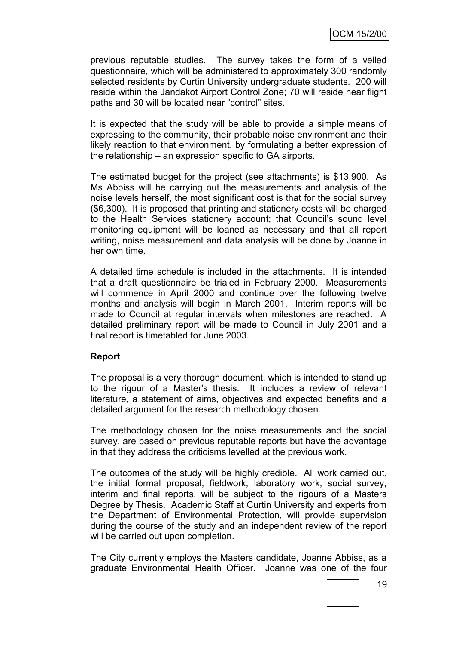previous reputable studies. The survey takes the form of a veiled questionnaire, which will be administered to approximately 300 randomly selected residents by Curtin University undergraduate students. 200 will reside within the Jandakot Airport Control Zone; 70 will reside near flight paths and 30 will be located near "control" sites.

It is expected that the study will be able to provide a simple means of expressing to the community, their probable noise environment and their likely reaction to that environment, by formulating a better expression of the relationship – an expression specific to GA airports.

The estimated budget for the project (see attachments) is \$13,900. As Ms Abbiss will be carrying out the measurements and analysis of the noise levels herself, the most significant cost is that for the social survey (\$6,300). It is proposed that printing and stationery costs will be charged to the Health Services stationery account; that Council's sound level monitoring equipment will be loaned as necessary and that all report writing, noise measurement and data analysis will be done by Joanne in her own time.

A detailed time schedule is included in the attachments. It is intended that a draft questionnaire be trialed in February 2000. Measurements will commence in April 2000 and continue over the following twelve months and analysis will begin in March 2001. Interim reports will be made to Council at regular intervals when milestones are reached. A detailed preliminary report will be made to Council in July 2001 and a final report is timetabled for June 2003.

### **Report**

The proposal is a very thorough document, which is intended to stand up to the rigour of a Master's thesis. It includes a review of relevant literature, a statement of aims, objectives and expected benefits and a detailed argument for the research methodology chosen.

The methodology chosen for the noise measurements and the social survey, are based on previous reputable reports but have the advantage in that they address the criticisms levelled at the previous work.

The outcomes of the study will be highly credible. All work carried out, the initial formal proposal, fieldwork, laboratory work, social survey, interim and final reports, will be subject to the rigours of a Masters Degree by Thesis. Academic Staff at Curtin University and experts from the Department of Environmental Protection, will provide supervision during the course of the study and an independent review of the report will be carried out upon completion.

The City currently employs the Masters candidate, Joanne Abbiss, as a graduate Environmental Health Officer. Joanne was one of the four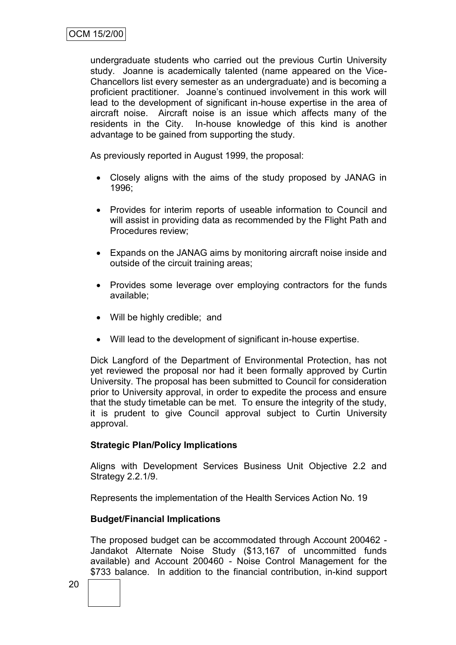undergraduate students who carried out the previous Curtin University study. Joanne is academically talented (name appeared on the Vice-Chancellors list every semester as an undergraduate) and is becoming a proficient practitioner. Joanne's continued involvement in this work will lead to the development of significant in-house expertise in the area of aircraft noise. Aircraft noise is an issue which affects many of the residents in the City. In-house knowledge of this kind is another advantage to be gained from supporting the study.

As previously reported in August 1999, the proposal:

- Closely aligns with the aims of the study proposed by JANAG in 1996;
- Provides for interim reports of useable information to Council and will assist in providing data as recommended by the Flight Path and Procedures review;
- Expands on the JANAG aims by monitoring aircraft noise inside and outside of the circuit training areas;
- Provides some leverage over employing contractors for the funds available;
- Will be highly credible; and
- Will lead to the development of significant in-house expertise.

Dick Langford of the Department of Environmental Protection, has not yet reviewed the proposal nor had it been formally approved by Curtin University. The proposal has been submitted to Council for consideration prior to University approval, in order to expedite the process and ensure that the study timetable can be met. To ensure the integrity of the study, it is prudent to give Council approval subject to Curtin University approval.

### **Strategic Plan/Policy Implications**

Aligns with Development Services Business Unit Objective 2.2 and Strategy 2.2.1/9.

Represents the implementation of the Health Services Action No. 19

### **Budget/Financial Implications**

The proposed budget can be accommodated through Account 200462 - Jandakot Alternate Noise Study (\$13,167 of uncommitted funds available) and Account 200460 - Noise Control Management for the \$733 balance. In addition to the financial contribution, in-kind support

20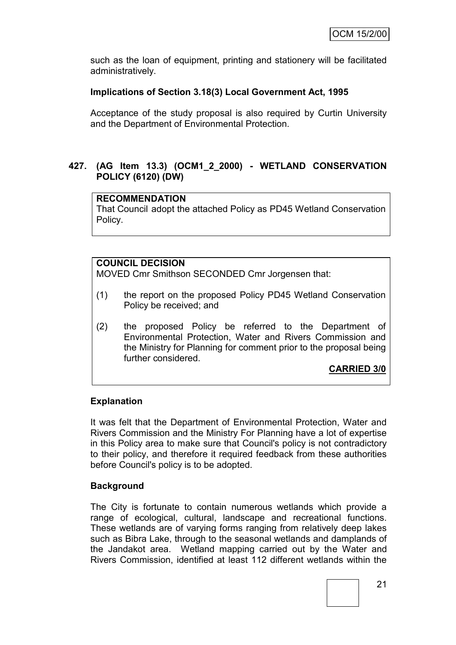such as the loan of equipment, printing and stationery will be facilitated administratively.

# **Implications of Section 3.18(3) Local Government Act, 1995**

Acceptance of the study proposal is also required by Curtin University and the Department of Environmental Protection.

## **427. (AG Item 13.3) (OCM1\_2\_2000) - WETLAND CONSERVATION POLICY (6120) (DW)**

## **RECOMMENDATION**

That Council adopt the attached Policy as PD45 Wetland Conservation Policy.

# **COUNCIL DECISION**

MOVED Cmr Smithson SECONDED Cmr Jorgensen that:

- (1) the report on the proposed Policy PD45 Wetland Conservation Policy be received; and
- (2) the proposed Policy be referred to the Department of Environmental Protection, Water and Rivers Commission and the Ministry for Planning for comment prior to the proposal being further considered.

# **CARRIED 3/0**

### **Explanation**

It was felt that the Department of Environmental Protection, Water and Rivers Commission and the Ministry For Planning have a lot of expertise in this Policy area to make sure that Council's policy is not contradictory to their policy, and therefore it required feedback from these authorities before Council's policy is to be adopted.

### **Background**

The City is fortunate to contain numerous wetlands which provide a range of ecological, cultural, landscape and recreational functions. These wetlands are of varying forms ranging from relatively deep lakes such as Bibra Lake, through to the seasonal wetlands and damplands of the Jandakot area. Wetland mapping carried out by the Water and Rivers Commission, identified at least 112 different wetlands within the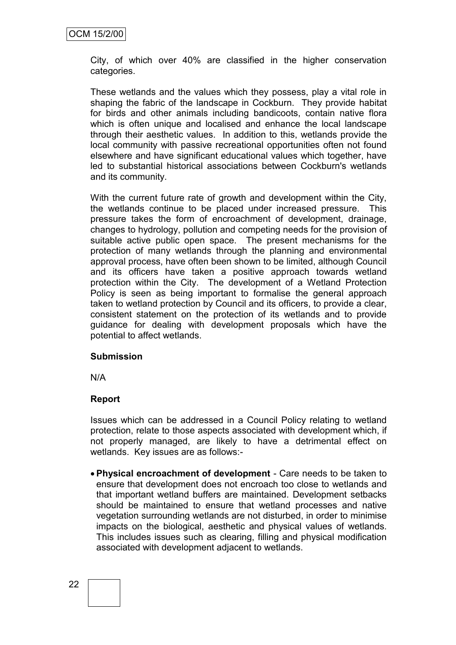City, of which over 40% are classified in the higher conservation categories.

These wetlands and the values which they possess, play a vital role in shaping the fabric of the landscape in Cockburn. They provide habitat for birds and other animals including bandicoots, contain native flora which is often unique and localised and enhance the local landscape through their aesthetic values. In addition to this, wetlands provide the local community with passive recreational opportunities often not found elsewhere and have significant educational values which together, have led to substantial historical associations between Cockburn's wetlands and its community.

With the current future rate of growth and development within the City, the wetlands continue to be placed under increased pressure. This pressure takes the form of encroachment of development, drainage, changes to hydrology, pollution and competing needs for the provision of suitable active public open space. The present mechanisms for the protection of many wetlands through the planning and environmental approval process, have often been shown to be limited, although Council and its officers have taken a positive approach towards wetland protection within the City. The development of a Wetland Protection Policy is seen as being important to formalise the general approach taken to wetland protection by Council and its officers, to provide a clear, consistent statement on the protection of its wetlands and to provide guidance for dealing with development proposals which have the potential to affect wetlands.

### **Submission**

N/A

### **Report**

Issues which can be addressed in a Council Policy relating to wetland protection, relate to those aspects associated with development which, if not properly managed, are likely to have a detrimental effect on wetlands. Key issues are as follows:-

 **Physical encroachment of development** - Care needs to be taken to ensure that development does not encroach too close to wetlands and that important wetland buffers are maintained. Development setbacks should be maintained to ensure that wetland processes and native vegetation surrounding wetlands are not disturbed, in order to minimise impacts on the biological, aesthetic and physical values of wetlands. This includes issues such as clearing, filling and physical modification associated with development adjacent to wetlands.

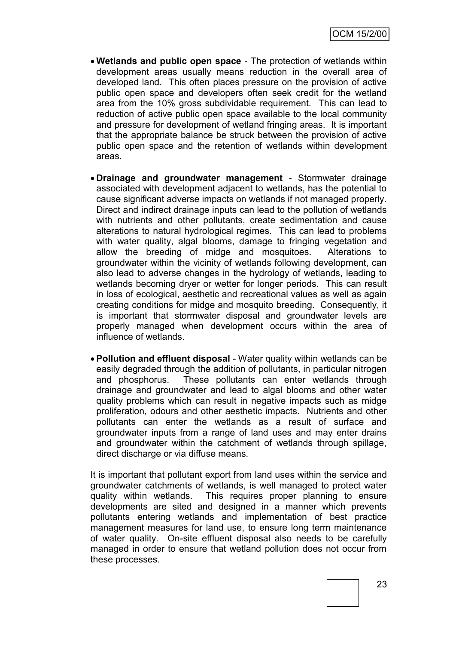- **Wetlands and public open space** The protection of wetlands within development areas usually means reduction in the overall area of developed land. This often places pressure on the provision of active public open space and developers often seek credit for the wetland area from the 10% gross subdividable requirement. This can lead to reduction of active public open space available to the local community and pressure for development of wetland fringing areas. It is important that the appropriate balance be struck between the provision of active public open space and the retention of wetlands within development areas.
- **Drainage and groundwater management** Stormwater drainage associated with development adjacent to wetlands, has the potential to cause significant adverse impacts on wetlands if not managed properly. Direct and indirect drainage inputs can lead to the pollution of wetlands with nutrients and other pollutants, create sedimentation and cause alterations to natural hydrological regimes. This can lead to problems with water quality, algal blooms, damage to fringing vegetation and allow the breeding of midge and mosquitoes. Alterations to groundwater within the vicinity of wetlands following development, can also lead to adverse changes in the hydrology of wetlands, leading to wetlands becoming dryer or wetter for longer periods. This can result in loss of ecological, aesthetic and recreational values as well as again creating conditions for midge and mosquito breeding. Consequently, it is important that stormwater disposal and groundwater levels are properly managed when development occurs within the area of influence of wetlands.
- **Pollution and effluent disposal** Water quality within wetlands can be easily degraded through the addition of pollutants, in particular nitrogen and phosphorus. These pollutants can enter wetlands through drainage and groundwater and lead to algal blooms and other water quality problems which can result in negative impacts such as midge proliferation, odours and other aesthetic impacts. Nutrients and other pollutants can enter the wetlands as a result of surface and groundwater inputs from a range of land uses and may enter drains and groundwater within the catchment of wetlands through spillage, direct discharge or via diffuse means.

It is important that pollutant export from land uses within the service and groundwater catchments of wetlands, is well managed to protect water quality within wetlands. This requires proper planning to ensure developments are sited and designed in a manner which prevents pollutants entering wetlands and implementation of best practice management measures for land use, to ensure long term maintenance of water quality. On-site effluent disposal also needs to be carefully managed in order to ensure that wetland pollution does not occur from these processes.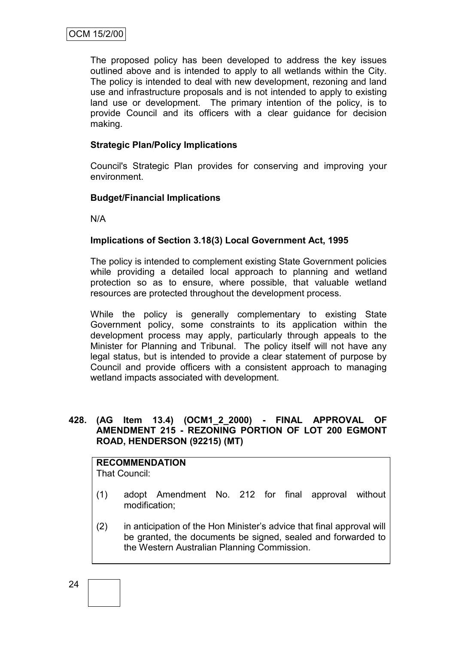The proposed policy has been developed to address the key issues outlined above and is intended to apply to all wetlands within the City. The policy is intended to deal with new development, rezoning and land use and infrastructure proposals and is not intended to apply to existing land use or development. The primary intention of the policy, is to provide Council and its officers with a clear guidance for decision making.

# **Strategic Plan/Policy Implications**

Council's Strategic Plan provides for conserving and improving your environment.

### **Budget/Financial Implications**

N/A

# **Implications of Section 3.18(3) Local Government Act, 1995**

The policy is intended to complement existing State Government policies while providing a detailed local approach to planning and wetland protection so as to ensure, where possible, that valuable wetland resources are protected throughout the development process.

While the policy is generally complementary to existing State Government policy, some constraints to its application within the development process may apply, particularly through appeals to the Minister for Planning and Tribunal. The policy itself will not have any legal status, but is intended to provide a clear statement of purpose by Council and provide officers with a consistent approach to managing wetland impacts associated with development.

## **428. (AG Item 13.4) (OCM1\_2\_2000) - FINAL APPROVAL OF AMENDMENT 215 - REZONING PORTION OF LOT 200 EGMONT ROAD, HENDERSON (92215) (MT)**

# **RECOMMENDATION**

That Council:

- (1) adopt Amendment No. 212 for final approval without modification;
- (2) in anticipation of the Hon Minister's advice that final approval will be granted, the documents be signed, sealed and forwarded to the Western Australian Planning Commission.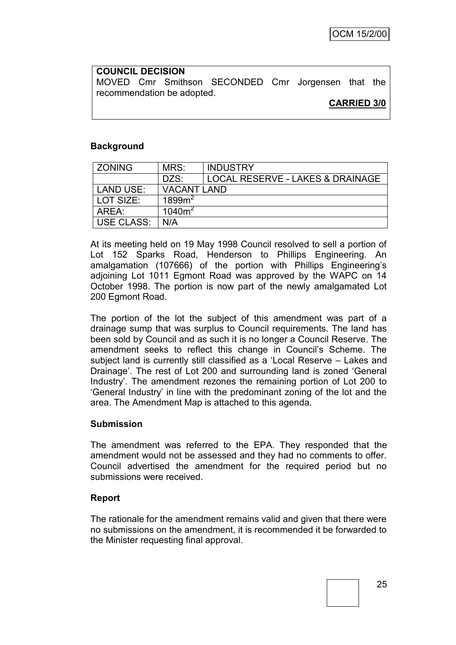**COUNCIL DECISION** MOVED Cmr Smithson SECONDED Cmr Jorgensen that the recommendation be adopted.

**CARRIED 3/0**

## **Background**

| <b>ZONING</b>     | MRS:               | <b>INDUSTRY</b>                  |  |
|-------------------|--------------------|----------------------------------|--|
|                   | DZS:               | LOCAL RESERVE - LAKES & DRAINAGE |  |
| LAND USE:         | <b>VACANT LAND</b> |                                  |  |
| l LOT SIZE:       | 1899m <sup>2</sup> |                                  |  |
| AREA:             | $1040m^2$          |                                  |  |
| <b>USE CLASS:</b> | N/A                |                                  |  |

At its meeting held on 19 May 1998 Council resolved to sell a portion of Lot 152 Sparks Road, Henderson to Phillips Engineering. An amalgamation (107666) of the portion with Phillips Engineering's adjoining Lot 1011 Egmont Road was approved by the WAPC on 14 October 1998. The portion is now part of the newly amalgamated Lot 200 Egmont Road.

The portion of the lot the subject of this amendment was part of a drainage sump that was surplus to Council requirements. The land has been sold by Council and as such it is no longer a Council Reserve. The amendment seeks to reflect this change in Council's Scheme. The subject land is currently still classified as a 'Local Reserve – Lakes and Drainage'. The rest of Lot 200 and surrounding land is zoned 'General Industry'. The amendment rezones the remaining portion of Lot 200 to 'General Industry' in line with the predominant zoning of the lot and the area. The Amendment Map is attached to this agenda.

#### **Submission**

The amendment was referred to the EPA. They responded that the amendment would not be assessed and they had no comments to offer. Council advertised the amendment for the required period but no submissions were received.

### **Report**

The rationale for the amendment remains valid and given that there were no submissions on the amendment, it is recommended it be forwarded to the Minister requesting final approval.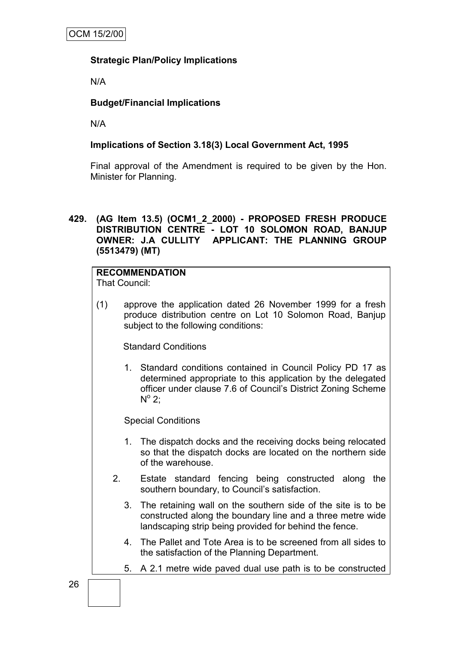# **Strategic Plan/Policy Implications**

N/A

# **Budget/Financial Implications**

N/A

### **Implications of Section 3.18(3) Local Government Act, 1995**

Final approval of the Amendment is required to be given by the Hon. Minister for Planning.

## **429. (AG Item 13.5) (OCM1\_2\_2000) - PROPOSED FRESH PRODUCE DISTRIBUTION CENTRE - LOT 10 SOLOMON ROAD, BANJUP OWNER: J.A CULLITY APPLICANT: THE PLANNING GROUP (5513479) (MT)**

# **RECOMMENDATION**

That Council:

(1) approve the application dated 26 November 1999 for a fresh produce distribution centre on Lot 10 Solomon Road, Banjup subject to the following conditions:

Standard Conditions

1. Standard conditions contained in Council Policy PD 17 as determined appropriate to this application by the delegated officer under clause 7.6 of Council's District Zoning Scheme  $N^{\circ}$  2;

Special Conditions

- 1. The dispatch docks and the receiving docks being relocated so that the dispatch docks are located on the northern side of the warehouse.
- 2. Estate standard fencing being constructed along the southern boundary, to Council's satisfaction.
	- 3. The retaining wall on the southern side of the site is to be constructed along the boundary line and a three metre wide landscaping strip being provided for behind the fence.
	- 4. The Pallet and Tote Area is to be screened from all sides to the satisfaction of the Planning Department.
	- 5. A 2.1 metre wide paved dual use path is to be constructed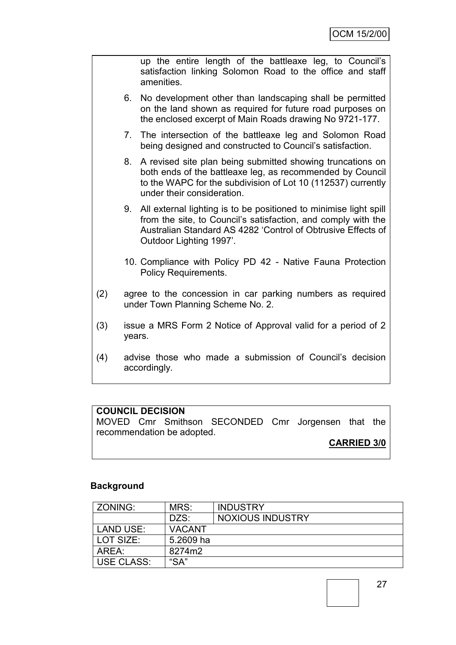|     |                                                                                                 | up the entire length of the battleaxe leg, to Council's<br>satisfaction linking Solomon Road to the office and staff<br>amenities.                                                                                            |  |
|-----|-------------------------------------------------------------------------------------------------|-------------------------------------------------------------------------------------------------------------------------------------------------------------------------------------------------------------------------------|--|
|     | 6.                                                                                              | No development other than landscaping shall be permitted<br>on the land shown as required for future road purposes on<br>the enclosed excerpt of Main Roads drawing No 9721-177.                                              |  |
|     | 7.                                                                                              | The intersection of the battleaxe leg and Solomon Road<br>being designed and constructed to Council's satisfaction.                                                                                                           |  |
|     | 8.                                                                                              | A revised site plan being submitted showing truncations on<br>both ends of the battleaxe leg, as recommended by Council<br>to the WAPC for the subdivision of Lot 10 (112537) currently<br>under their consideration.         |  |
|     | 9.                                                                                              | All external lighting is to be positioned to minimise light spill<br>from the site, to Council's satisfaction, and comply with the<br>Australian Standard AS 4282 'Control of Obtrusive Effects of<br>Outdoor Lighting 1997'. |  |
|     |                                                                                                 | 10. Compliance with Policy PD 42 - Native Fauna Protection<br><b>Policy Requirements.</b>                                                                                                                                     |  |
| (2) | agree to the concession in car parking numbers as required<br>under Town Planning Scheme No. 2. |                                                                                                                                                                                                                               |  |
| (3) | issue a MRS Form 2 Notice of Approval valid for a period of 2<br>years.                         |                                                                                                                                                                                                                               |  |
| (4) | advise those who made a submission of Council's decision<br>accordingly.                        |                                                                                                                                                                                                                               |  |

# **COUNCIL DECISION**

MOVED Cmr Smithson SECONDED Cmr Jorgensen that the recommendation be adopted.

# **CARRIED 3/0**

# **Background**

| ZONING:           | MRS:          | <b>INDUSTRY</b>         |
|-------------------|---------------|-------------------------|
|                   | DZS:          | <b>NOXIOUS INDUSTRY</b> |
| LAND USE:         | <b>VACANT</b> |                         |
| LOT SIZE:         | 5.2609 ha     |                         |
| AREA:             | 8274m2        |                         |
| <b>USE CLASS:</b> | "SA"          |                         |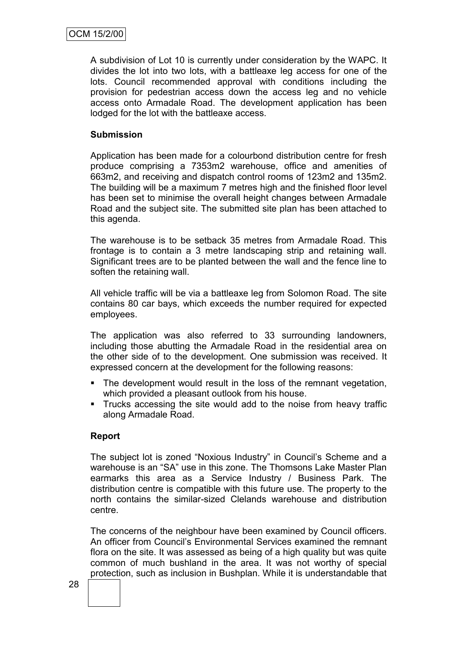A subdivision of Lot 10 is currently under consideration by the WAPC. It divides the lot into two lots, with a battleaxe leg access for one of the lots. Council recommended approval with conditions including the provision for pedestrian access down the access leg and no vehicle access onto Armadale Road. The development application has been lodged for the lot with the battleaxe access.

# **Submission**

Application has been made for a colourbond distribution centre for fresh produce comprising a 7353m2 warehouse, office and amenities of 663m2, and receiving and dispatch control rooms of 123m2 and 135m2. The building will be a maximum 7 metres high and the finished floor level has been set to minimise the overall height changes between Armadale Road and the subject site. The submitted site plan has been attached to this agenda.

The warehouse is to be setback 35 metres from Armadale Road. This frontage is to contain a 3 metre landscaping strip and retaining wall. Significant trees are to be planted between the wall and the fence line to soften the retaining wall.

All vehicle traffic will be via a battleaxe leg from Solomon Road. The site contains 80 car bays, which exceeds the number required for expected employees.

The application was also referred to 33 surrounding landowners, including those abutting the Armadale Road in the residential area on the other side of to the development. One submission was received. It expressed concern at the development for the following reasons:

- The development would result in the loss of the remnant vegetation, which provided a pleasant outlook from his house.
- **Trucks accessing the site would add to the noise from heavy traffic** along Armadale Road.

### **Report**

The subject lot is zoned "Noxious Industry" in Council's Scheme and a warehouse is an "SA" use in this zone. The Thomsons Lake Master Plan earmarks this area as a Service Industry / Business Park. The distribution centre is compatible with this future use. The property to the north contains the similar-sized Clelands warehouse and distribution centre.

The concerns of the neighbour have been examined by Council officers. An officer from Council's Environmental Services examined the remnant flora on the site. It was assessed as being of a high quality but was quite common of much bushland in the area. It was not worthy of special protection, such as inclusion in Bushplan. While it is understandable that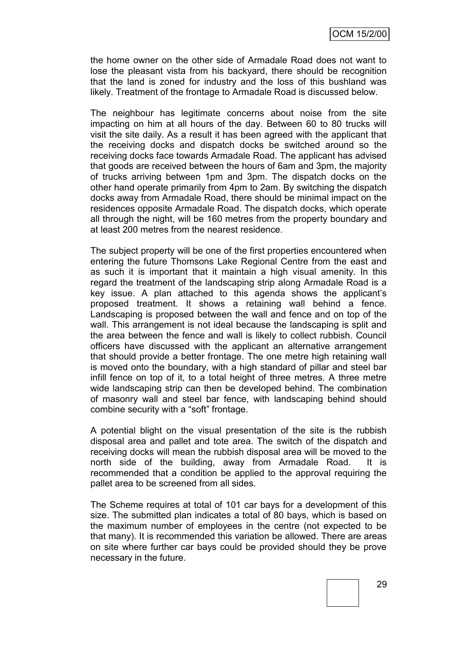the home owner on the other side of Armadale Road does not want to lose the pleasant vista from his backyard, there should be recognition that the land is zoned for industry and the loss of this bushland was likely. Treatment of the frontage to Armadale Road is discussed below.

The neighbour has legitimate concerns about noise from the site impacting on him at all hours of the day. Between 60 to 80 trucks will visit the site daily. As a result it has been agreed with the applicant that the receiving docks and dispatch docks be switched around so the receiving docks face towards Armadale Road. The applicant has advised that goods are received between the hours of 6am and 3pm, the majority of trucks arriving between 1pm and 3pm. The dispatch docks on the other hand operate primarily from 4pm to 2am. By switching the dispatch docks away from Armadale Road, there should be minimal impact on the residences opposite Armadale Road. The dispatch docks, which operate all through the night, will be 160 metres from the property boundary and at least 200 metres from the nearest residence.

The subject property will be one of the first properties encountered when entering the future Thomsons Lake Regional Centre from the east and as such it is important that it maintain a high visual amenity. In this regard the treatment of the landscaping strip along Armadale Road is a key issue. A plan attached to this agenda shows the applicant's proposed treatment. It shows a retaining wall behind a fence. Landscaping is proposed between the wall and fence and on top of the wall. This arrangement is not ideal because the landscaping is split and the area between the fence and wall is likely to collect rubbish. Council officers have discussed with the applicant an alternative arrangement that should provide a better frontage. The one metre high retaining wall is moved onto the boundary, with a high standard of pillar and steel bar infill fence on top of it, to a total height of three metres. A three metre wide landscaping strip can then be developed behind. The combination of masonry wall and steel bar fence, with landscaping behind should combine security with a "soft" frontage.

A potential blight on the visual presentation of the site is the rubbish disposal area and pallet and tote area. The switch of the dispatch and receiving docks will mean the rubbish disposal area will be moved to the north side of the building, away from Armadale Road. It is recommended that a condition be applied to the approval requiring the pallet area to be screened from all sides.

The Scheme requires at total of 101 car bays for a development of this size. The submitted plan indicates a total of 80 bays, which is based on the maximum number of employees in the centre (not expected to be that many). It is recommended this variation be allowed. There are areas on site where further car bays could be provided should they be prove necessary in the future.

29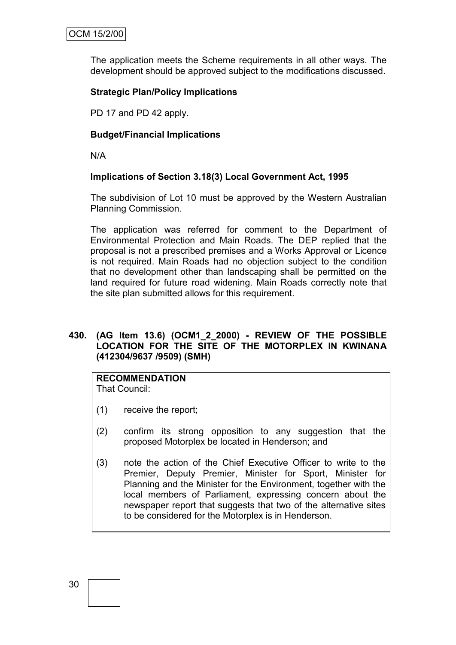The application meets the Scheme requirements in all other ways. The development should be approved subject to the modifications discussed.

# **Strategic Plan/Policy Implications**

PD 17 and PD 42 apply.

## **Budget/Financial Implications**

N/A

# **Implications of Section 3.18(3) Local Government Act, 1995**

The subdivision of Lot 10 must be approved by the Western Australian Planning Commission.

The application was referred for comment to the Department of Environmental Protection and Main Roads. The DEP replied that the proposal is not a prescribed premises and a Works Approval or Licence is not required. Main Roads had no objection subject to the condition that no development other than landscaping shall be permitted on the land required for future road widening. Main Roads correctly note that the site plan submitted allows for this requirement.

#### **430. (AG Item 13.6) (OCM1\_2\_2000) - REVIEW OF THE POSSIBLE LOCATION FOR THE SITE OF THE MOTORPLEX IN KWINANA (412304/9637 /9509) (SMH)**

# **RECOMMENDATION**

That Council:

- (1) receive the report;
- (2) confirm its strong opposition to any suggestion that the proposed Motorplex be located in Henderson; and
- (3) note the action of the Chief Executive Officer to write to the Premier, Deputy Premier, Minister for Sport, Minister for Planning and the Minister for the Environment, together with the local members of Parliament, expressing concern about the newspaper report that suggests that two of the alternative sites to be considered for the Motorplex is in Henderson.

30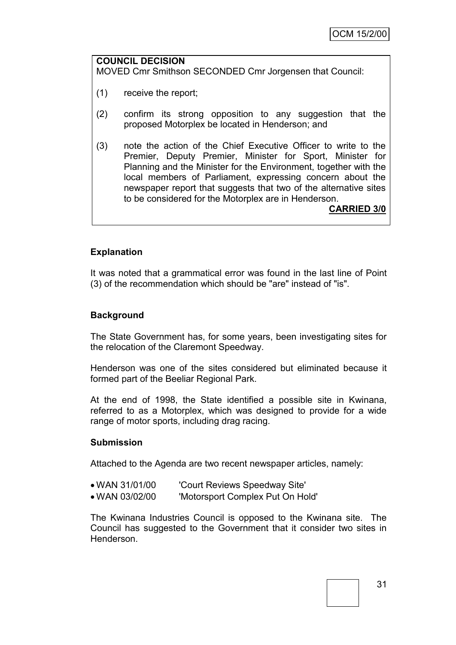#### **COUNCIL DECISION** MOVED Cmr Smithson SECONDED Cmr Jorgensen that Council:

- (1) receive the report;
- (2) confirm its strong opposition to any suggestion that the proposed Motorplex be located in Henderson; and
- (3) note the action of the Chief Executive Officer to write to the Premier, Deputy Premier, Minister for Sport, Minister for Planning and the Minister for the Environment, together with the local members of Parliament, expressing concern about the newspaper report that suggests that two of the alternative sites to be considered for the Motorplex are in Henderson.

**CARRIED 3/0**

# **Explanation**

It was noted that a grammatical error was found in the last line of Point (3) of the recommendation which should be "are" instead of "is".

### **Background**

The State Government has, for some years, been investigating sites for the relocation of the Claremont Speedway.

Henderson was one of the sites considered but eliminated because it formed part of the Beeliar Regional Park.

At the end of 1998, the State identified a possible site in Kwinana, referred to as a Motorplex, which was designed to provide for a wide range of motor sports, including drag racing.

#### **Submission**

Attached to the Agenda are two recent newspaper articles, namely:

- WAN 31/01/00 'Court Reviews Speedway Site'
- WAN 03/02/00 'Motorsport Complex Put On Hold'

The Kwinana Industries Council is opposed to the Kwinana site. The Council has suggested to the Government that it consider two sites in Henderson.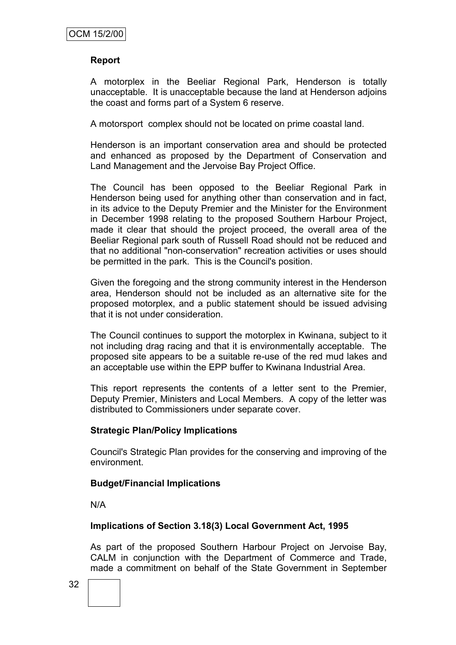### **Report**

A motorplex in the Beeliar Regional Park, Henderson is totally unacceptable. It is unacceptable because the land at Henderson adjoins the coast and forms part of a System 6 reserve.

A motorsport complex should not be located on prime coastal land.

Henderson is an important conservation area and should be protected and enhanced as proposed by the Department of Conservation and Land Management and the Jervoise Bay Project Office.

The Council has been opposed to the Beeliar Regional Park in Henderson being used for anything other than conservation and in fact, in its advice to the Deputy Premier and the Minister for the Environment in December 1998 relating to the proposed Southern Harbour Project, made it clear that should the project proceed, the overall area of the Beeliar Regional park south of Russell Road should not be reduced and that no additional "non-conservation" recreation activities or uses should be permitted in the park. This is the Council's position.

Given the foregoing and the strong community interest in the Henderson area, Henderson should not be included as an alternative site for the proposed motorplex, and a public statement should be issued advising that it is not under consideration.

The Council continues to support the motorplex in Kwinana, subject to it not including drag racing and that it is environmentally acceptable. The proposed site appears to be a suitable re-use of the red mud lakes and an acceptable use within the EPP buffer to Kwinana Industrial Area.

This report represents the contents of a letter sent to the Premier, Deputy Premier, Ministers and Local Members. A copy of the letter was distributed to Commissioners under separate cover.

#### **Strategic Plan/Policy Implications**

Council's Strategic Plan provides for the conserving and improving of the environment.

#### **Budget/Financial Implications**

N/A

### **Implications of Section 3.18(3) Local Government Act, 1995**

As part of the proposed Southern Harbour Project on Jervoise Bay, CALM in conjunction with the Department of Commerce and Trade, made a commitment on behalf of the State Government in September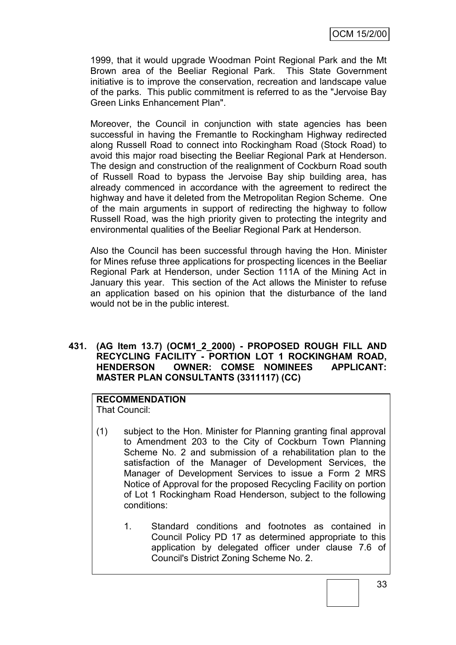1999, that it would upgrade Woodman Point Regional Park and the Mt Brown area of the Beeliar Regional Park. This State Government initiative is to improve the conservation, recreation and landscape value of the parks. This public commitment is referred to as the "Jervoise Bay Green Links Enhancement Plan".

Moreover, the Council in conjunction with state agencies has been successful in having the Fremantle to Rockingham Highway redirected along Russell Road to connect into Rockingham Road (Stock Road) to avoid this major road bisecting the Beeliar Regional Park at Henderson. The design and construction of the realignment of Cockburn Road south of Russell Road to bypass the Jervoise Bay ship building area, has already commenced in accordance with the agreement to redirect the highway and have it deleted from the Metropolitan Region Scheme. One of the main arguments in support of redirecting the highway to follow Russell Road, was the high priority given to protecting the integrity and environmental qualities of the Beeliar Regional Park at Henderson.

Also the Council has been successful through having the Hon. Minister for Mines refuse three applications for prospecting licences in the Beeliar Regional Park at Henderson, under Section 111A of the Mining Act in January this year. This section of the Act allows the Minister to refuse an application based on his opinion that the disturbance of the land would not be in the public interest.

## **431. (AG Item 13.7) (OCM1\_2\_2000) - PROPOSED ROUGH FILL AND RECYCLING FACILITY - PORTION LOT 1 ROCKINGHAM ROAD, HENDERSON OWNER: COMSE NOMINEES APPLICANT: MASTER PLAN CONSULTANTS (3311117) (CC)**

## **RECOMMENDATION**

That Council:

- (1) subject to the Hon. Minister for Planning granting final approval to Amendment 203 to the City of Cockburn Town Planning Scheme No. 2 and submission of a rehabilitation plan to the satisfaction of the Manager of Development Services, the Manager of Development Services to issue a Form 2 MRS Notice of Approval for the proposed Recycling Facility on portion of Lot 1 Rockingham Road Henderson, subject to the following conditions:
	- 1. Standard conditions and footnotes as contained in Council Policy PD 17 as determined appropriate to this application by delegated officer under clause 7.6 of Council's District Zoning Scheme No. 2.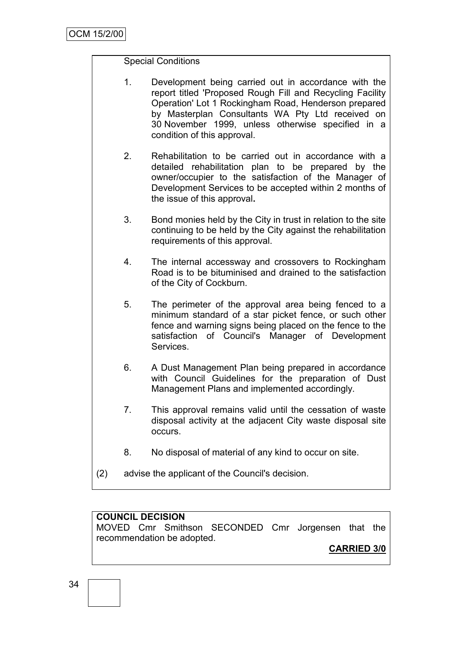# Special Conditions

- 1. Development being carried out in accordance with the report titled 'Proposed Rough Fill and Recycling Facility Operation' Lot 1 Rockingham Road, Henderson prepared by Masterplan Consultants WA Pty Ltd received on 30 November 1999, unless otherwise specified in a condition of this approval.
- 2. Rehabilitation to be carried out in accordance with a detailed rehabilitation plan to be prepared by the owner/occupier to the satisfaction of the Manager of Development Services to be accepted within 2 months of the issue of this approval**.**
- 3. Bond monies held by the City in trust in relation to the site continuing to be held by the City against the rehabilitation requirements of this approval.
- 4. The internal accessway and crossovers to Rockingham Road is to be bituminised and drained to the satisfaction of the City of Cockburn.
- 5. The perimeter of the approval area being fenced to a minimum standard of a star picket fence, or such other fence and warning signs being placed on the fence to the satisfaction of Council's Manager of Development Services.
- 6. A Dust Management Plan being prepared in accordance with Council Guidelines for the preparation of Dust Management Plans and implemented accordingly.
- 7. This approval remains valid until the cessation of waste disposal activity at the adjacent City waste disposal site occurs.
- 8. No disposal of material of any kind to occur on site.
- (2) advise the applicant of the Council's decision.

# **COUNCIL DECISION**

MOVED Cmr Smithson SECONDED Cmr Jorgensen that the recommendation be adopted.

**CARRIED 3/0**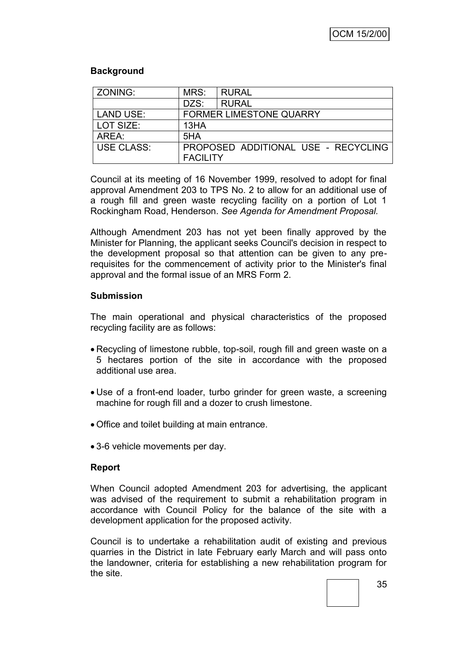# **Background**

| ZONING:          | MRS:                           | <b>RURAL</b>                        |  |
|------------------|--------------------------------|-------------------------------------|--|
|                  | DZS:                           | <b>RURAL</b>                        |  |
| <b>LAND USE:</b> | <b>FORMER LIMESTONE QUARRY</b> |                                     |  |
| LOT SIZE:        | 13HA                           |                                     |  |
| AREA:            | 5HA                            |                                     |  |
| USE CLASS:       | <b>FACILITY</b>                | PROPOSED ADDITIONAL USE - RECYCLING |  |

Council at its meeting of 16 November 1999, resolved to adopt for final approval Amendment 203 to TPS No. 2 to allow for an additional use of a rough fill and green waste recycling facility on a portion of Lot 1 Rockingham Road, Henderson. *See Agenda for Amendment Proposal.*

Although Amendment 203 has not yet been finally approved by the Minister for Planning, the applicant seeks Council's decision in respect to the development proposal so that attention can be given to any prerequisites for the commencement of activity prior to the Minister's final approval and the formal issue of an MRS Form 2.

## **Submission**

The main operational and physical characteristics of the proposed recycling facility are as follows:

- Recycling of limestone rubble, top-soil, rough fill and green waste on a 5 hectares portion of the site in accordance with the proposed additional use area.
- Use of a front-end loader, turbo grinder for green waste, a screening machine for rough fill and a dozer to crush limestone.
- Office and toilet building at main entrance.
- 3-6 vehicle movements per day.

## **Report**

When Council adopted Amendment 203 for advertising, the applicant was advised of the requirement to submit a rehabilitation program in accordance with Council Policy for the balance of the site with a development application for the proposed activity.

Council is to undertake a rehabilitation audit of existing and previous quarries in the District in late February early March and will pass onto the landowner, criteria for establishing a new rehabilitation program for the site.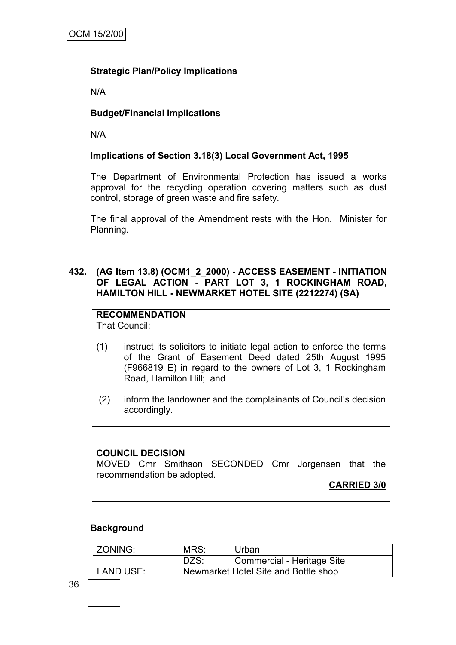# **Strategic Plan/Policy Implications**

N/A

# **Budget/Financial Implications**

N/A

# **Implications of Section 3.18(3) Local Government Act, 1995**

The Department of Environmental Protection has issued a works approval for the recycling operation covering matters such as dust control, storage of green waste and fire safety.

The final approval of the Amendment rests with the Hon. Minister for Planning.

## **432. (AG Item 13.8) (OCM1\_2\_2000) - ACCESS EASEMENT - INITIATION OF LEGAL ACTION - PART LOT 3, 1 ROCKINGHAM ROAD, HAMILTON HILL - NEWMARKET HOTEL SITE (2212274) (SA)**

# **RECOMMENDATION**

That Council:

- (1) instruct its solicitors to initiate legal action to enforce the terms of the Grant of Easement Deed dated 25th August 1995 (F966819 E) in regard to the owners of Lot 3, 1 Rockingham Road, Hamilton Hill; and
- (2) inform the landowner and the complainants of Council's decision accordingly.

# **COUNCIL DECISION**

MOVED Cmr Smithson SECONDED Cmr Jorgensen that the recommendation be adopted.

**CARRIED 3/0**

## **Background**

| <b>ZONING:</b> | MRS:                                 | Urban                      |  |
|----------------|--------------------------------------|----------------------------|--|
|                | DZS:                                 | Commercial - Heritage Site |  |
| LAND USE:      | Newmarket Hotel Site and Bottle shop |                            |  |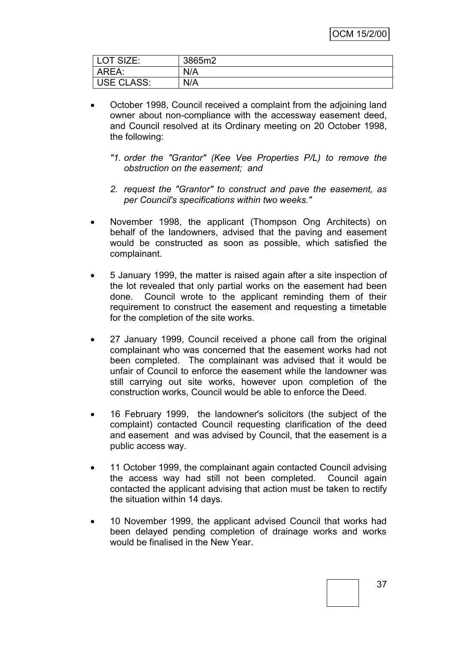| OT SIZE:<br><u>_</u> | 3865m2 |
|----------------------|--------|
| AREA:                | N/A    |
| <b>USE CLASS:</b>    | N/A    |

- October 1998, Council received a complaint from the adjoining land owner about non-compliance with the accessway easement deed, and Council resolved at its Ordinary meeting on 20 October 1998, the following:
	- *"1. order the "Grantor" (Kee Vee Properties P/L) to remove the obstruction on the easement; and*
	- *2. request the "Grantor" to construct and pave the easement, as per Council's specifications within two weeks."*
- November 1998, the applicant (Thompson Ong Architects) on behalf of the landowners, advised that the paving and easement would be constructed as soon as possible, which satisfied the complainant.
- 5 January 1999, the matter is raised again after a site inspection of the lot revealed that only partial works on the easement had been done. Council wrote to the applicant reminding them of their requirement to construct the easement and requesting a timetable for the completion of the site works.
- 27 January 1999, Council received a phone call from the original complainant who was concerned that the easement works had not been completed. The complainant was advised that it would be unfair of Council to enforce the easement while the landowner was still carrying out site works, however upon completion of the construction works, Council would be able to enforce the Deed.
- 16 February 1999, the landowner's solicitors (the subject of the complaint) contacted Council requesting clarification of the deed and easement and was advised by Council, that the easement is a public access way.
- 11 October 1999, the complainant again contacted Council advising the access way had still not been completed. Council again contacted the applicant advising that action must be taken to rectify the situation within 14 days.
- 10 November 1999, the applicant advised Council that works had been delayed pending completion of drainage works and works would be finalised in the New Year.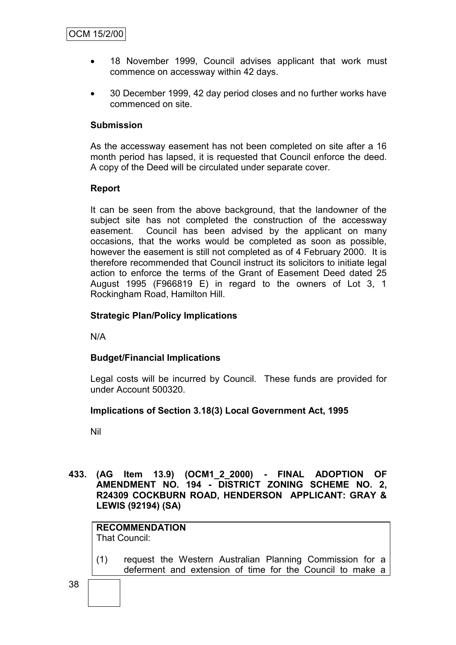- 18 November 1999, Council advises applicant that work must commence on accessway within 42 days.
- 30 December 1999, 42 day period closes and no further works have commenced on site.

## **Submission**

As the accessway easement has not been completed on site after a 16 month period has lapsed, it is requested that Council enforce the deed. A copy of the Deed will be circulated under separate cover.

# **Report**

It can be seen from the above background, that the landowner of the subject site has not completed the construction of the accessway easement. Council has been advised by the applicant on many occasions, that the works would be completed as soon as possible, however the easement is still not completed as of 4 February 2000. It is therefore recommended that Council instruct its solicitors to initiate legal action to enforce the terms of the Grant of Easement Deed dated 25 August 1995 (F966819 E) in regard to the owners of Lot 3, 1 Rockingham Road, Hamilton Hill.

# **Strategic Plan/Policy Implications**

N/A

## **Budget/Financial Implications**

Legal costs will be incurred by Council. These funds are provided for under Account 500320.

## **Implications of Section 3.18(3) Local Government Act, 1995**

Nil

**433. (AG Item 13.9) (OCM1\_2\_2000) - FINAL ADOPTION OF AMENDMENT NO. 194 - DISTRICT ZONING SCHEME NO. 2, R24309 COCKBURN ROAD, HENDERSON APPLICANT: GRAY & LEWIS (92194) (SA)**

#### **RECOMMENDATION** That Council:

- (1) request the Western Australian Planning Commission for a deferment and extension of time for the Council to make a
- 38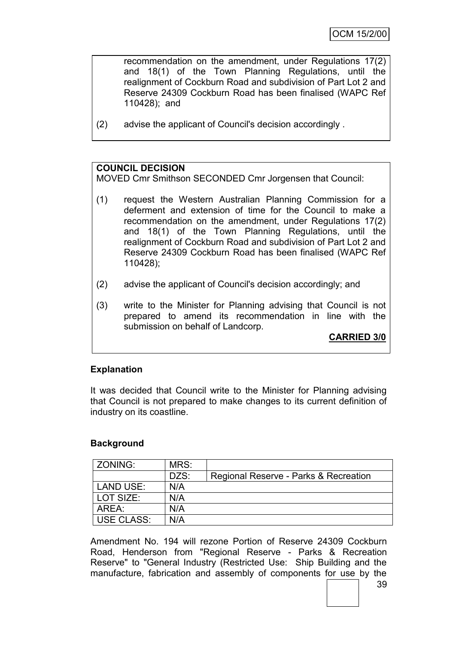recommendation on the amendment, under Regulations 17(2) and 18(1) of the Town Planning Regulations, until the realignment of Cockburn Road and subdivision of Part Lot 2 and Reserve 24309 Cockburn Road has been finalised (WAPC Ref 110428); and

(2) advise the applicant of Council's decision accordingly .

# **COUNCIL DECISION**

MOVED Cmr Smithson SECONDED Cmr Jorgensen that Council:

- (1) request the Western Australian Planning Commission for a deferment and extension of time for the Council to make a recommendation on the amendment, under Regulations 17(2) and 18(1) of the Town Planning Regulations, until the realignment of Cockburn Road and subdivision of Part Lot 2 and Reserve 24309 Cockburn Road has been finalised (WAPC Ref 110428);
- (2) advise the applicant of Council's decision accordingly; and
- (3) write to the Minister for Planning advising that Council is not prepared to amend its recommendation in line with the submission on behalf of Landcorp.

**CARRIED 3/0**

## **Explanation**

It was decided that Council write to the Minister for Planning advising that Council is not prepared to make changes to its current definition of industry on its coastline.

## **Background**

| ZONING:           | MRS: |                                       |
|-------------------|------|---------------------------------------|
|                   | DZS: | Regional Reserve - Parks & Recreation |
| <b>LAND USE:</b>  | N/A  |                                       |
| LOT SIZE:         | N/A  |                                       |
| AREA:             | N/A  |                                       |
| <b>USE CLASS:</b> | N/A  |                                       |

Amendment No. 194 will rezone Portion of Reserve 24309 Cockburn Road, Henderson from "Regional Reserve - Parks & Recreation Reserve" to "General Industry (Restricted Use: Ship Building and the manufacture, fabrication and assembly of components for use by the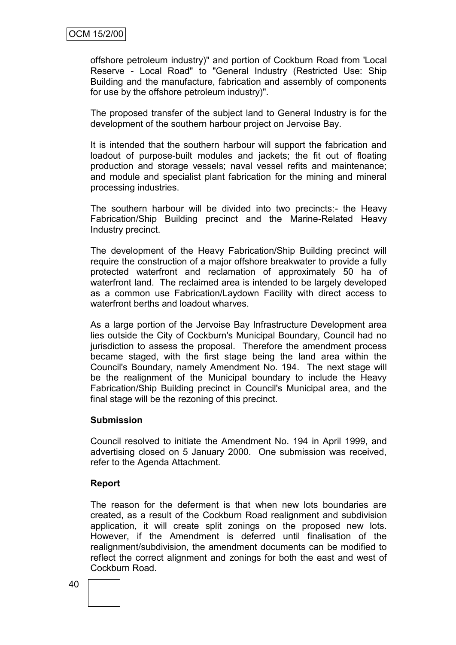offshore petroleum industry)" and portion of Cockburn Road from 'Local Reserve - Local Road" to "General Industry (Restricted Use: Ship Building and the manufacture, fabrication and assembly of components for use by the offshore petroleum industry)".

The proposed transfer of the subject land to General Industry is for the development of the southern harbour project on Jervoise Bay.

It is intended that the southern harbour will support the fabrication and loadout of purpose-built modules and jackets; the fit out of floating production and storage vessels; naval vessel refits and maintenance; and module and specialist plant fabrication for the mining and mineral processing industries.

The southern harbour will be divided into two precincts:- the Heavy Fabrication/Ship Building precinct and the Marine-Related Heavy Industry precinct.

The development of the Heavy Fabrication/Ship Building precinct will require the construction of a major offshore breakwater to provide a fully protected waterfront and reclamation of approximately 50 ha of waterfront land. The reclaimed area is intended to be largely developed as a common use Fabrication/Laydown Facility with direct access to waterfront berths and loadout wharves.

As a large portion of the Jervoise Bay Infrastructure Development area lies outside the City of Cockburn's Municipal Boundary, Council had no jurisdiction to assess the proposal. Therefore the amendment process became staged, with the first stage being the land area within the Council's Boundary, namely Amendment No. 194. The next stage will be the realignment of the Municipal boundary to include the Heavy Fabrication/Ship Building precinct in Council's Municipal area, and the final stage will be the rezoning of this precinct.

## **Submission**

Council resolved to initiate the Amendment No. 194 in April 1999, and advertising closed on 5 January 2000. One submission was received, refer to the Agenda Attachment.

## **Report**

The reason for the deferment is that when new lots boundaries are created, as a result of the Cockburn Road realignment and subdivision application, it will create split zonings on the proposed new lots. However, if the Amendment is deferred until finalisation of the realignment/subdivision, the amendment documents can be modified to reflect the correct alignment and zonings for both the east and west of Cockburn Road.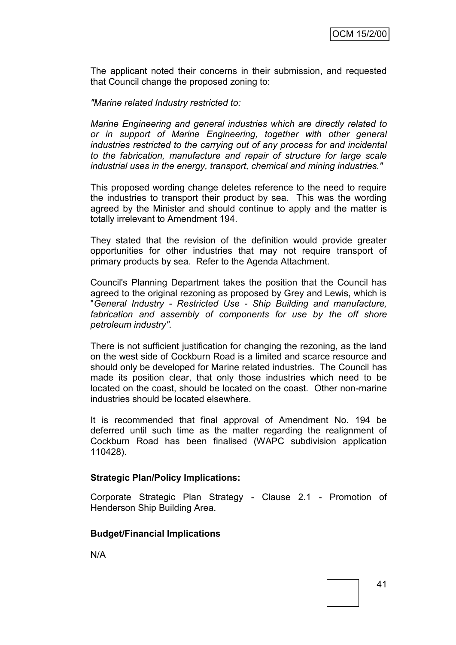The applicant noted their concerns in their submission, and requested that Council change the proposed zoning to:

*"Marine related Industry restricted to:*

*Marine Engineering and general industries which are directly related to or in support of Marine Engineering, together with other general industries restricted to the carrying out of any process for and incidental to the fabrication, manufacture and repair of structure for large scale industrial uses in the energy, transport, chemical and mining industries."*

This proposed wording change deletes reference to the need to require the industries to transport their product by sea. This was the wording agreed by the Minister and should continue to apply and the matter is totally irrelevant to Amendment 194.

They stated that the revision of the definition would provide greater opportunities for other industries that may not require transport of primary products by sea. Refer to the Agenda Attachment.

Council's Planning Department takes the position that the Council has agreed to the original rezoning as proposed by Grey and Lewis, which is "*General Industry - Restricted Use - Ship Building and manufacture, fabrication and assembly of components for use by the off shore petroleum industry".* 

There is not sufficient justification for changing the rezoning, as the land on the west side of Cockburn Road is a limited and scarce resource and should only be developed for Marine related industries. The Council has made its position clear, that only those industries which need to be located on the coast, should be located on the coast. Other non-marine industries should be located elsewhere.

It is recommended that final approval of Amendment No. 194 be deferred until such time as the matter regarding the realignment of Cockburn Road has been finalised (WAPC subdivision application 110428).

## **Strategic Plan/Policy Implications:**

Corporate Strategic Plan Strategy - Clause 2.1 - Promotion of Henderson Ship Building Area.

## **Budget/Financial Implications**

N/A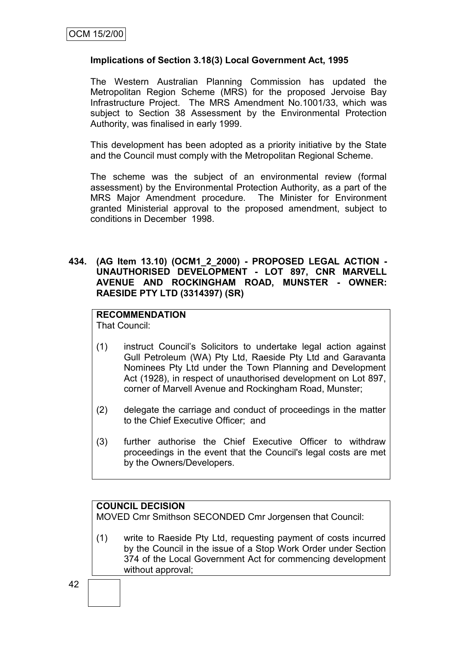## **Implications of Section 3.18(3) Local Government Act, 1995**

The Western Australian Planning Commission has updated the Metropolitan Region Scheme (MRS) for the proposed Jervoise Bay Infrastructure Project. The MRS Amendment No.1001/33, which was subject to Section 38 Assessment by the Environmental Protection Authority, was finalised in early 1999.

This development has been adopted as a priority initiative by the State and the Council must comply with the Metropolitan Regional Scheme.

The scheme was the subject of an environmental review (formal assessment) by the Environmental Protection Authority, as a part of the MRS Major Amendment procedure. The Minister for Environment granted Ministerial approval to the proposed amendment, subject to conditions in December 1998.

#### **434. (AG Item 13.10) (OCM1\_2\_2000) - PROPOSED LEGAL ACTION - UNAUTHORISED DEVELOPMENT - LOT 897, CNR MARVELL AVENUE AND ROCKINGHAM ROAD, MUNSTER - OWNER: RAESIDE PTY LTD (3314397) (SR)**

# **RECOMMENDATION**

That Council:

- (1) instruct Council's Solicitors to undertake legal action against Gull Petroleum (WA) Pty Ltd, Raeside Pty Ltd and Garavanta Nominees Pty Ltd under the Town Planning and Development Act (1928), in respect of unauthorised development on Lot 897, corner of Marvell Avenue and Rockingham Road, Munster;
- (2) delegate the carriage and conduct of proceedings in the matter to the Chief Executive Officer; and
- (3) further authorise the Chief Executive Officer to withdraw proceedings in the event that the Council's legal costs are met by the Owners/Developers.

# **COUNCIL DECISION**

MOVED Cmr Smithson SECONDED Cmr Jorgensen that Council:

(1) write to Raeside Pty Ltd, requesting payment of costs incurred by the Council in the issue of a Stop Work Order under Section 374 of the Local Government Act for commencing development without approval;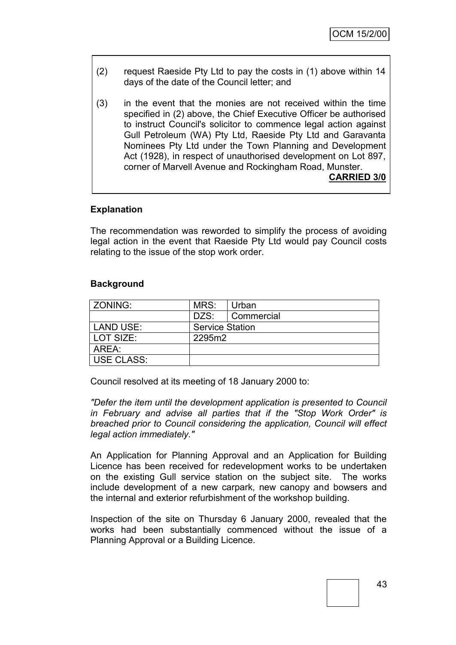- (2) request Raeside Pty Ltd to pay the costs in (1) above within 14 days of the date of the Council letter; and
- (3) in the event that the monies are not received within the time specified in (2) above, the Chief Executive Officer be authorised to instruct Council's solicitor to commence legal action against Gull Petroleum (WA) Pty Ltd, Raeside Pty Ltd and Garavanta Nominees Pty Ltd under the Town Planning and Development Act (1928), in respect of unauthorised development on Lot 897, corner of Marvell Avenue and Rockingham Road, Munster. **CARRIED 3/0**

## **Explanation**

The recommendation was reworded to simplify the process of avoiding legal action in the event that Raeside Pty Ltd would pay Council costs relating to the issue of the stop work order.

#### **Background**

| <b>ZONING:</b>    | MRS:                   | Urban      |  |
|-------------------|------------------------|------------|--|
|                   | DZS:                   | Commercial |  |
| LAND USE:         | <b>Service Station</b> |            |  |
| l LOT SIZE:       | 2295m2                 |            |  |
| AREA:             |                        |            |  |
| <b>USE CLASS:</b> |                        |            |  |

Council resolved at its meeting of 18 January 2000 to:

*"Defer the item until the development application is presented to Council in February and advise all parties that if the "Stop Work Order" is breached prior to Council considering the application, Council will effect legal action immediately."*

An Application for Planning Approval and an Application for Building Licence has been received for redevelopment works to be undertaken on the existing Gull service station on the subject site. The works include development of a new carpark, new canopy and bowsers and the internal and exterior refurbishment of the workshop building.

Inspection of the site on Thursday 6 January 2000, revealed that the works had been substantially commenced without the issue of a Planning Approval or a Building Licence.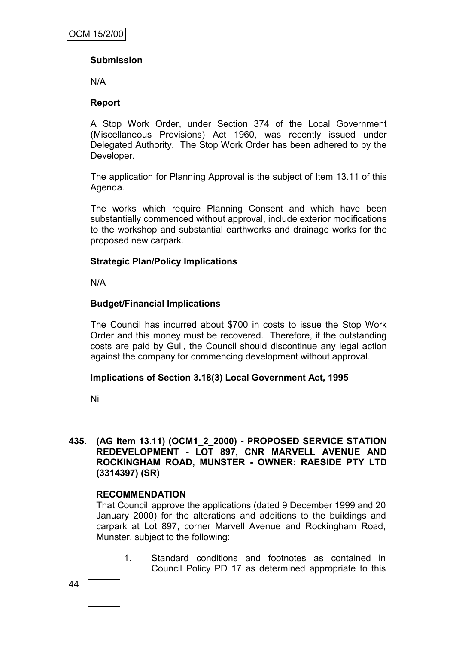# **Submission**

N/A

# **Report**

A Stop Work Order, under Section 374 of the Local Government (Miscellaneous Provisions) Act 1960, was recently issued under Delegated Authority. The Stop Work Order has been adhered to by the Developer.

The application for Planning Approval is the subject of Item 13.11 of this Agenda.

The works which require Planning Consent and which have been substantially commenced without approval, include exterior modifications to the workshop and substantial earthworks and drainage works for the proposed new carpark.

# **Strategic Plan/Policy Implications**

N/A

# **Budget/Financial Implications**

The Council has incurred about \$700 in costs to issue the Stop Work Order and this money must be recovered. Therefore, if the outstanding costs are paid by Gull, the Council should discontinue any legal action against the company for commencing development without approval.

## **Implications of Section 3.18(3) Local Government Act, 1995**

Nil

**435. (AG Item 13.11) (OCM1\_2\_2000) - PROPOSED SERVICE STATION REDEVELOPMENT - LOT 897, CNR MARVELL AVENUE AND ROCKINGHAM ROAD, MUNSTER - OWNER: RAESIDE PTY LTD (3314397) (SR)**

## **RECOMMENDATION**

That Council approve the applications (dated 9 December 1999 and 20 January 2000) for the alterations and additions to the buildings and carpark at Lot 897, corner Marvell Avenue and Rockingham Road, Munster, subject to the following:

1. Standard conditions and footnotes as contained in Council Policy PD 17 as determined appropriate to this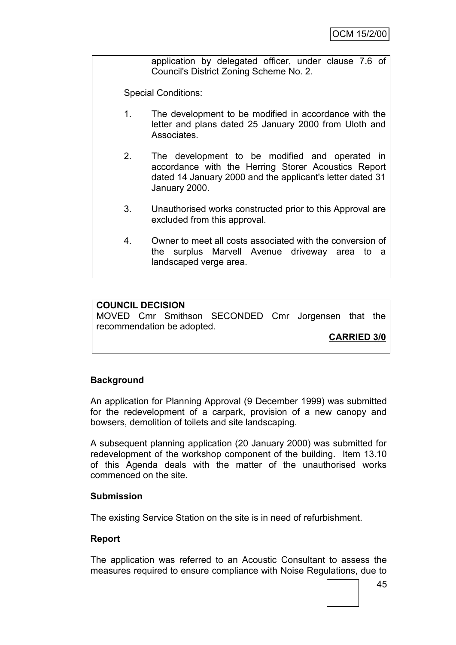application by delegated officer, under clause 7.6 of Council's District Zoning Scheme No. 2.

Special Conditions:

- 1. The development to be modified in accordance with the letter and plans dated 25 January 2000 from Uloth and Associates.
- 2. The development to be modified and operated in accordance with the Herring Storer Acoustics Report dated 14 January 2000 and the applicant's letter dated 31 January 2000.
- 3. Unauthorised works constructed prior to this Approval are excluded from this approval.
- 4. Owner to meet all costs associated with the conversion of the surplus Marvell Avenue driveway area to a landscaped verge area.

## **COUNCIL DECISION**

MOVED Cmr Smithson SECONDED Cmr Jorgensen that the recommendation be adopted.

**CARRIED 3/0**

## **Background**

An application for Planning Approval (9 December 1999) was submitted for the redevelopment of a carpark, provision of a new canopy and bowsers, demolition of toilets and site landscaping.

A subsequent planning application (20 January 2000) was submitted for redevelopment of the workshop component of the building. Item 13.10 of this Agenda deals with the matter of the unauthorised works commenced on the site.

#### **Submission**

The existing Service Station on the site is in need of refurbishment.

#### **Report**

The application was referred to an Acoustic Consultant to assess the measures required to ensure compliance with Noise Regulations, due to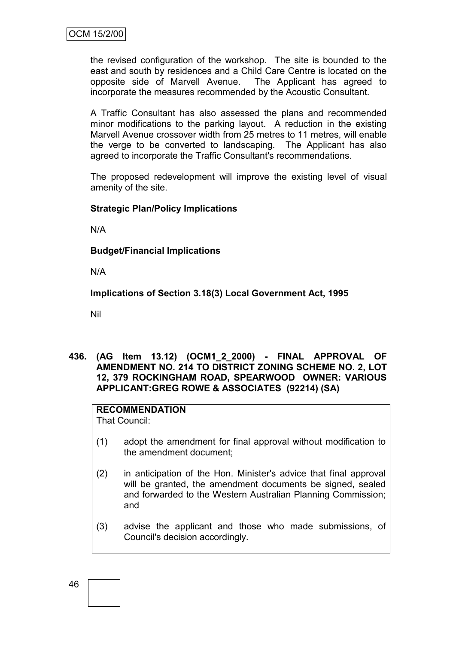the revised configuration of the workshop. The site is bounded to the east and south by residences and a Child Care Centre is located on the opposite side of Marvell Avenue. The Applicant has agreed to incorporate the measures recommended by the Acoustic Consultant.

A Traffic Consultant has also assessed the plans and recommended minor modifications to the parking layout. A reduction in the existing Marvell Avenue crossover width from 25 metres to 11 metres, will enable the verge to be converted to landscaping. The Applicant has also agreed to incorporate the Traffic Consultant's recommendations.

The proposed redevelopment will improve the existing level of visual amenity of the site.

## **Strategic Plan/Policy Implications**

N/A

## **Budget/Financial Implications**

N/A

**Implications of Section 3.18(3) Local Government Act, 1995**

Nil

**436. (AG Item 13.12) (OCM1\_2\_2000) - FINAL APPROVAL OF AMENDMENT NO. 214 TO DISTRICT ZONING SCHEME NO. 2, LOT 12, 379 ROCKINGHAM ROAD, SPEARWOOD OWNER: VARIOUS APPLICANT:GREG ROWE & ASSOCIATES (92214) (SA)**

# **RECOMMENDATION**

That Council:

- (1) adopt the amendment for final approval without modification to the amendment document;
- (2) in anticipation of the Hon. Minister's advice that final approval will be granted, the amendment documents be signed, sealed and forwarded to the Western Australian Planning Commission; and
- (3) advise the applicant and those who made submissions, of Council's decision accordingly.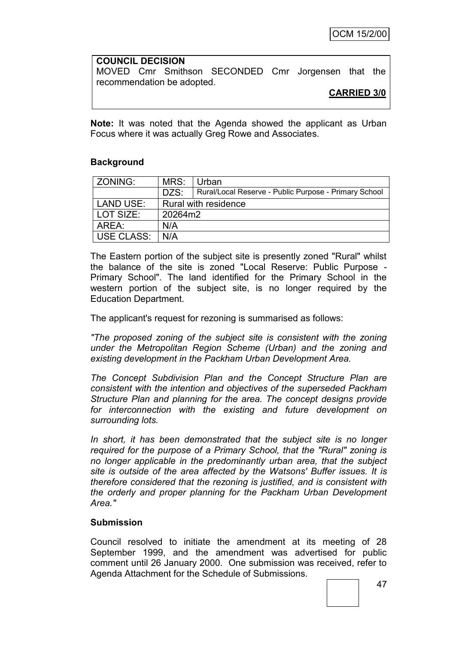# **COUNCIL DECISION** MOVED Cmr Smithson SECONDED Cmr Jorgensen that the recommendation be adopted.

**CARRIED 3/0**

**Note:** It was noted that the Agenda showed the applicant as Urban Focus where it was actually Greg Rowe and Associates.

# **Background**

| <b>ZONING:</b> | MRS:                 | Urban                                                 |  |
|----------------|----------------------|-------------------------------------------------------|--|
|                | DZS:                 | Rural/Local Reserve - Public Purpose - Primary School |  |
| LAND USE:      | Rural with residence |                                                       |  |
| LOT SIZE:      | 20264m2              |                                                       |  |
| ARFA:          | N/A                  |                                                       |  |
| USE CLASS:     | N/A                  |                                                       |  |

The Eastern portion of the subject site is presently zoned "Rural" whilst the balance of the site is zoned "Local Reserve: Public Purpose - Primary School". The land identified for the Primary School in the western portion of the subject site, is no longer required by the Education Department.

The applicant's request for rezoning is summarised as follows:

*"The proposed zoning of the subject site is consistent with the zoning under the Metropolitan Region Scheme (Urban) and the zoning and existing development in the Packham Urban Development Area.*

*The Concept Subdivision Plan and the Concept Structure Plan are consistent with the intention and objectives of the superseded Packham Structure Plan and planning for the area. The concept designs provide for interconnection with the existing and future development on surrounding lots.*

*In short, it has been demonstrated that the subject site is no longer required for the purpose of a Primary School, that the "Rural" zoning is no longer applicable in the predominantly urban area, that the subject site is outside of the area affected by the Watsons' Buffer issues. It is therefore considered that the rezoning is justified, and is consistent with the orderly and proper planning for the Packham Urban Development Area."*

## **Submission**

Council resolved to initiate the amendment at its meeting of 28 September 1999, and the amendment was advertised for public comment until 26 January 2000. One submission was received, refer to Agenda Attachment for the Schedule of Submissions.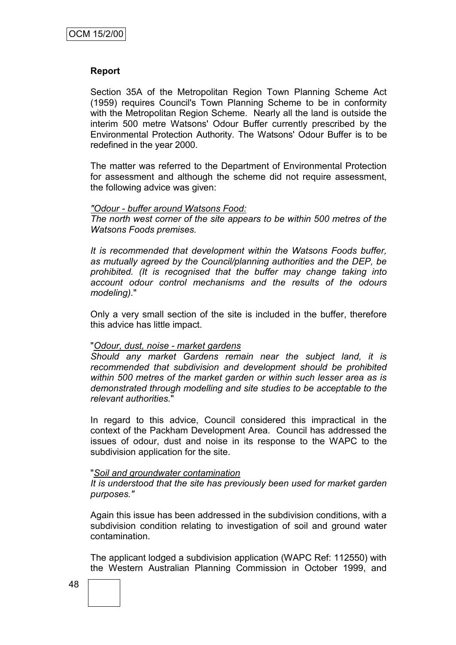#### **Report**

Section 35A of the Metropolitan Region Town Planning Scheme Act (1959) requires Council's Town Planning Scheme to be in conformity with the Metropolitan Region Scheme. Nearly all the land is outside the interim 500 metre Watsons' Odour Buffer currently prescribed by the Environmental Protection Authority. The Watsons' Odour Buffer is to be redefined in the year 2000.

The matter was referred to the Department of Environmental Protection for assessment and although the scheme did not require assessment, the following advice was given:

#### *"Odour - buffer around Watsons Food:*

*The north west corner of the site appears to be within 500 metres of the Watsons Foods premises.*

*It is recommended that development within the Watsons Foods buffer, as mutually agreed by the Council/planning authorities and the DEP, be prohibited. (It is recognised that the buffer may change taking into account odour control mechanisms and the results of the odours modeling).*"

Only a very small section of the site is included in the buffer, therefore this advice has little impact.

#### "*Odour, dust, noise - market gardens*

*Should any market Gardens remain near the subject land, it is recommended that subdivision and development should be prohibited within 500 metres of the market garden or within such lesser area as is demonstrated through modelling and site studies to be acceptable to the relevant authorities.*"

In regard to this advice, Council considered this impractical in the context of the Packham Development Area. Council has addressed the issues of odour, dust and noise in its response to the WAPC to the subdivision application for the site.

#### "*Soil and groundwater contamination*

*It is understood that the site has previously been used for market garden purposes."*

Again this issue has been addressed in the subdivision conditions, with a subdivision condition relating to investigation of soil and ground water contamination.

The applicant lodged a subdivision application (WAPC Ref: 112550) with the Western Australian Planning Commission in October 1999, and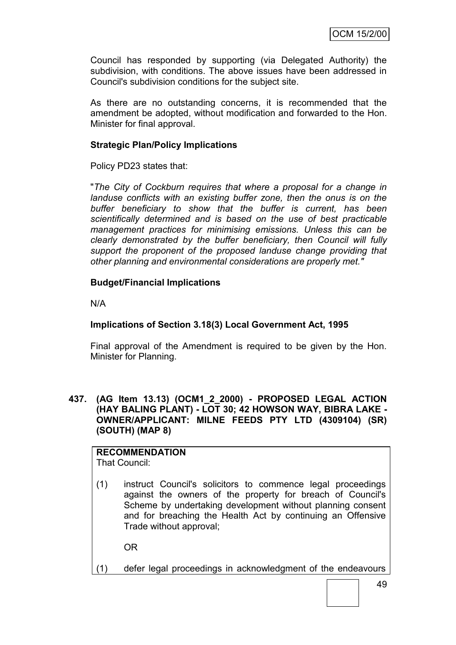Council has responded by supporting (via Delegated Authority) the subdivision, with conditions. The above issues have been addressed in Council's subdivision conditions for the subject site.

As there are no outstanding concerns, it is recommended that the amendment be adopted, without modification and forwarded to the Hon. Minister for final approval.

## **Strategic Plan/Policy Implications**

Policy PD23 states that:

"*The City of Cockburn requires that where a proposal for a change in landuse conflicts with an existing buffer zone, then the onus is on the buffer beneficiary to show that the buffer is current, has been scientifically determined and is based on the use of best practicable management practices for minimising emissions. Unless this can be clearly demonstrated by the buffer beneficiary, then Council will fully support the proponent of the proposed landuse change providing that other planning and environmental considerations are properly met."*

# **Budget/Financial Implications**

N/A

# **Implications of Section 3.18(3) Local Government Act, 1995**

Final approval of the Amendment is required to be given by the Hon. Minister for Planning.

**437. (AG Item 13.13) (OCM1\_2\_2000) - PROPOSED LEGAL ACTION (HAY BALING PLANT) - LOT 30; 42 HOWSON WAY, BIBRA LAKE - OWNER/APPLICANT: MILNE FEEDS PTY LTD (4309104) (SR) (SOUTH) (MAP 8)**

# **RECOMMENDATION**

That Council:

(1) instruct Council's solicitors to commence legal proceedings against the owners of the property for breach of Council's Scheme by undertaking development without planning consent and for breaching the Health Act by continuing an Offensive Trade without approval;

OR

(1) defer legal proceedings in acknowledgment of the endeavours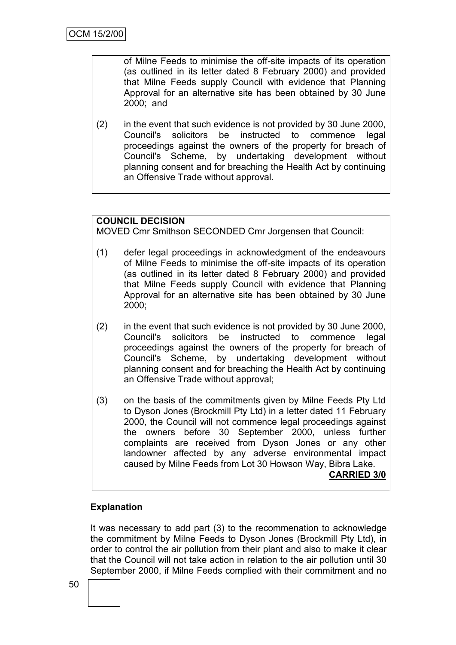of Milne Feeds to minimise the off-site impacts of its operation (as outlined in its letter dated 8 February 2000) and provided that Milne Feeds supply Council with evidence that Planning Approval for an alternative site has been obtained by 30 June 2000; and

(2) in the event that such evidence is not provided by 30 June 2000, Council's solicitors be instructed to commence legal proceedings against the owners of the property for breach of Council's Scheme, by undertaking development without planning consent and for breaching the Health Act by continuing an Offensive Trade without approval.

# **COUNCIL DECISION**

MOVED Cmr Smithson SECONDED Cmr Jorgensen that Council:

- (1) defer legal proceedings in acknowledgment of the endeavours of Milne Feeds to minimise the off-site impacts of its operation (as outlined in its letter dated 8 February 2000) and provided that Milne Feeds supply Council with evidence that Planning Approval for an alternative site has been obtained by 30 June 2000;
- (2) in the event that such evidence is not provided by 30 June 2000, Council's solicitors be instructed to commence legal proceedings against the owners of the property for breach of Council's Scheme, by undertaking development without planning consent and for breaching the Health Act by continuing an Offensive Trade without approval;
- (3) on the basis of the commitments given by Milne Feeds Pty Ltd to Dyson Jones (Brockmill Pty Ltd) in a letter dated 11 February 2000, the Council will not commence legal proceedings against the owners before 30 September 2000, unless further complaints are received from Dyson Jones or any other landowner affected by any adverse environmental impact caused by Milne Feeds from Lot 30 Howson Way, Bibra Lake.

## **CARRIED 3/0**

## **Explanation**

It was necessary to add part (3) to the recommenation to acknowledge the commitment by Milne Feeds to Dyson Jones (Brockmill Pty Ltd), in order to control the air pollution from their plant and also to make it clear that the Council will not take action in relation to the air pollution until 30 September 2000, if Milne Feeds complied with their commitment and no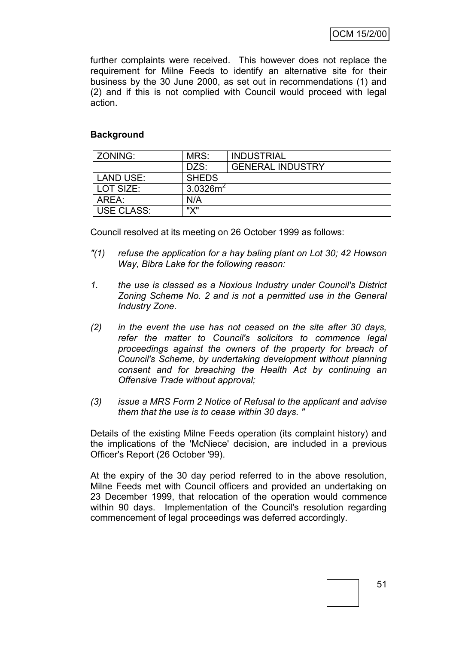further complaints were received. This however does not replace the requirement for Milne Feeds to identify an alternative site for their business by the 30 June 2000, as set out in recommendations (1) and (2) and if this is not complied with Council would proceed with legal action.

## **Background**

| ZONING:           | MRS:<br><b>INDUSTRIAL</b>        |                         |  |
|-------------------|----------------------------------|-------------------------|--|
|                   | DZS:                             | <b>GENERAL INDUSTRY</b> |  |
| <b>LAND USE:</b>  | <b>SHEDS</b>                     |                         |  |
| LOT SIZE:         | 3.0326 $m2$                      |                         |  |
| AREA:             | N/A                              |                         |  |
| <b>USE CLASS:</b> | $\mathsf{W}\mathsf{V}\mathsf{W}$ |                         |  |

Council resolved at its meeting on 26 October 1999 as follows:

- *"(1) refuse the application for a hay baling plant on Lot 30; 42 Howson Way, Bibra Lake for the following reason:*
- *1. the use is classed as a Noxious Industry under Council's District Zoning Scheme No. 2 and is not a permitted use in the General Industry Zone.*
- *(2) in the event the use has not ceased on the site after 30 days, refer the matter to Council's solicitors to commence legal proceedings against the owners of the property for breach of Council's Scheme, by undertaking development without planning consent and for breaching the Health Act by continuing an Offensive Trade without approval;*
- *(3) issue a MRS Form 2 Notice of Refusal to the applicant and advise them that the use is to cease within 30 days. "*

Details of the existing Milne Feeds operation (its complaint history) and the implications of the 'McNiece' decision, are included in a previous Officer's Report (26 October '99).

At the expiry of the 30 day period referred to in the above resolution, Milne Feeds met with Council officers and provided an undertaking on 23 December 1999, that relocation of the operation would commence within 90 days. Implementation of the Council's resolution regarding commencement of legal proceedings was deferred accordingly.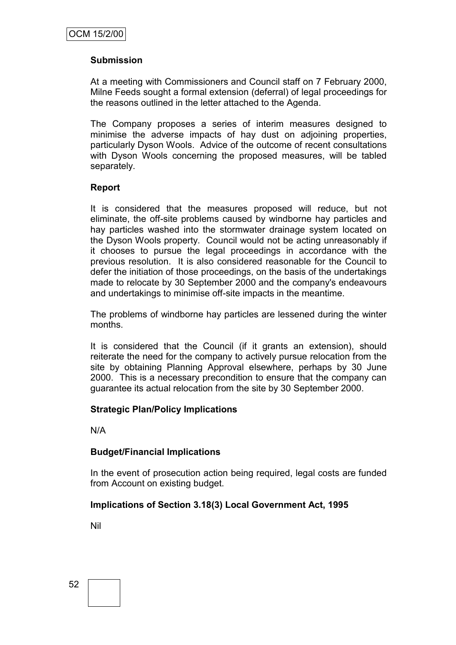## **Submission**

At a meeting with Commissioners and Council staff on 7 February 2000, Milne Feeds sought a formal extension (deferral) of legal proceedings for the reasons outlined in the letter attached to the Agenda.

The Company proposes a series of interim measures designed to minimise the adverse impacts of hay dust on adjoining properties, particularly Dyson Wools. Advice of the outcome of recent consultations with Dyson Wools concerning the proposed measures, will be tabled separately.

## **Report**

It is considered that the measures proposed will reduce, but not eliminate, the off-site problems caused by windborne hay particles and hay particles washed into the stormwater drainage system located on the Dyson Wools property. Council would not be acting unreasonably if it chooses to pursue the legal proceedings in accordance with the previous resolution. It is also considered reasonable for the Council to defer the initiation of those proceedings, on the basis of the undertakings made to relocate by 30 September 2000 and the company's endeavours and undertakings to minimise off-site impacts in the meantime.

The problems of windborne hay particles are lessened during the winter months.

It is considered that the Council (if it grants an extension), should reiterate the need for the company to actively pursue relocation from the site by obtaining Planning Approval elsewhere, perhaps by 30 June 2000. This is a necessary precondition to ensure that the company can guarantee its actual relocation from the site by 30 September 2000.

## **Strategic Plan/Policy Implications**

N/A

## **Budget/Financial Implications**

In the event of prosecution action being required, legal costs are funded from Account on existing budget.

## **Implications of Section 3.18(3) Local Government Act, 1995**

Nil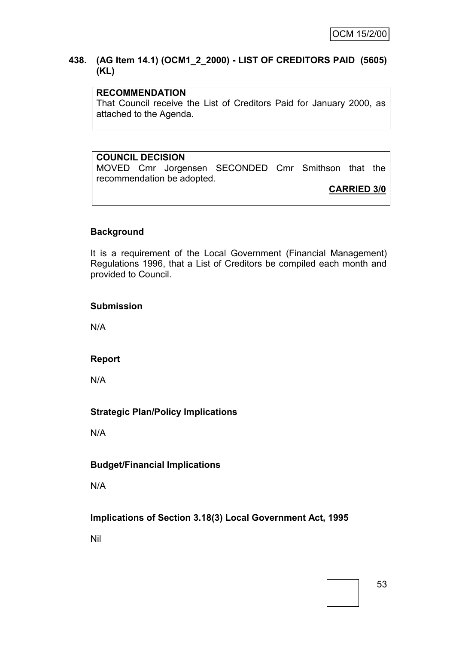#### **438. (AG Item 14.1) (OCM1\_2\_2000) - LIST OF CREDITORS PAID (5605) (KL)**

# **RECOMMENDATION**

That Council receive the List of Creditors Paid for January 2000, as attached to the Agenda.

# **COUNCIL DECISION**

MOVED Cmr Jorgensen SECONDED Cmr Smithson that the recommendation be adopted.

**CARRIED 3/0**

## **Background**

It is a requirement of the Local Government (Financial Management) Regulations 1996, that a List of Creditors be compiled each month and provided to Council.

#### **Submission**

N/A

## **Report**

N/A

## **Strategic Plan/Policy Implications**

N/A

## **Budget/Financial Implications**

N/A

## **Implications of Section 3.18(3) Local Government Act, 1995**

Nil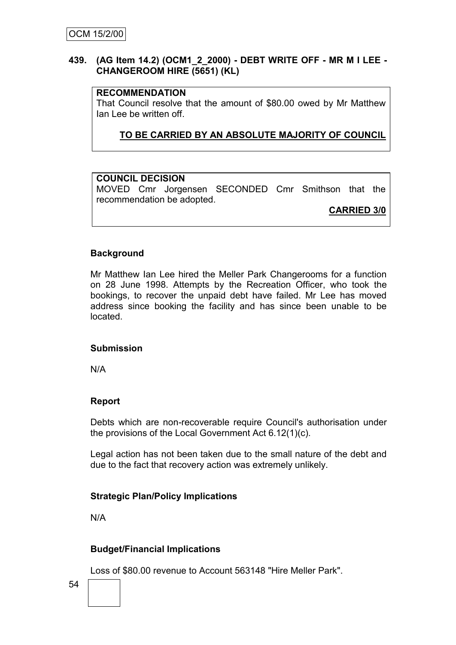## **439. (AG Item 14.2) (OCM1\_2\_2000) - DEBT WRITE OFF - MR M I LEE - CHANGEROOM HIRE (5651) (KL)**

## **RECOMMENDATION**

That Council resolve that the amount of \$80.00 owed by Mr Matthew Ian Lee be written off.

**TO BE CARRIED BY AN ABSOLUTE MAJORITY OF COUNCIL**

## **COUNCIL DECISION**

MOVED Cmr Jorgensen SECONDED Cmr Smithson that the recommendation be adopted.

**CARRIED 3/0**

## **Background**

Mr Matthew Ian Lee hired the Meller Park Changerooms for a function on 28 June 1998. Attempts by the Recreation Officer, who took the bookings, to recover the unpaid debt have failed. Mr Lee has moved address since booking the facility and has since been unable to be located.

## **Submission**

N/A

# **Report**

Debts which are non-recoverable require Council's authorisation under the provisions of the Local Government Act 6.12(1)(c).

Legal action has not been taken due to the small nature of the debt and due to the fact that recovery action was extremely unlikely.

# **Strategic Plan/Policy Implications**

N/A

# **Budget/Financial Implications**

Loss of \$80.00 revenue to Account 563148 "Hire Meller Park".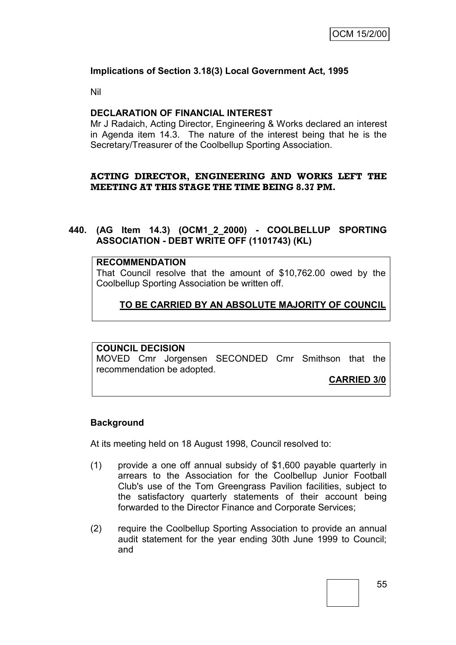## **Implications of Section 3.18(3) Local Government Act, 1995**

Nil

## **DECLARATION OF FINANCIAL INTEREST**

Mr J Radaich, Acting Director, Engineering & Works declared an interest in Agenda item 14.3. The nature of the interest being that he is the Secretary/Treasurer of the Coolbellup Sporting Association.

## **ACTING DIRECTOR, ENGINEERING AND WORKS LEFT THE MEETING AT THIS STAGE THE TIME BEING 8.37 PM.**

## **440. (AG Item 14.3) (OCM1\_2\_2000) - COOLBELLUP SPORTING ASSOCIATION - DEBT WRITE OFF (1101743) (KL)**

#### **RECOMMENDATION**

That Council resolve that the amount of \$10,762.00 owed by the Coolbellup Sporting Association be written off.

# **TO BE CARRIED BY AN ABSOLUTE MAJORITY OF COUNCIL**

# **COUNCIL DECISION**

MOVED Cmr Jorgensen SECONDED Cmr Smithson that the recommendation be adopted.

**CARRIED 3/0**

#### **Background**

At its meeting held on 18 August 1998, Council resolved to:

- (1) provide a one off annual subsidy of \$1,600 payable quarterly in arrears to the Association for the Coolbellup Junior Football Club's use of the Tom Greengrass Pavilion facilities, subject to the satisfactory quarterly statements of their account being forwarded to the Director Finance and Corporate Services;
- (2) require the Coolbellup Sporting Association to provide an annual audit statement for the year ending 30th June 1999 to Council; and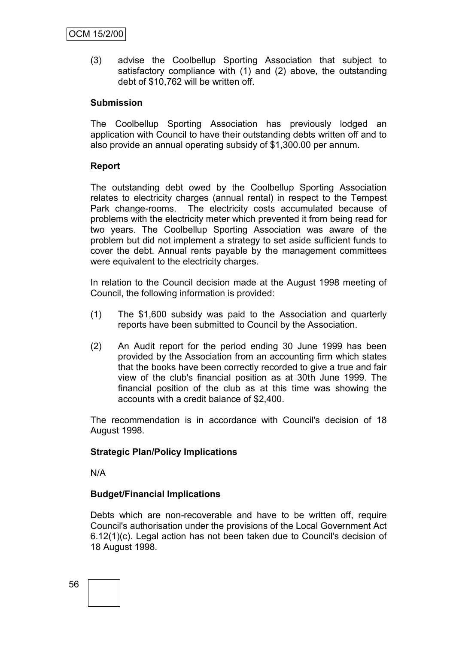(3) advise the Coolbellup Sporting Association that subject to satisfactory compliance with (1) and (2) above, the outstanding debt of \$10,762 will be written off.

## **Submission**

The Coolbellup Sporting Association has previously lodged an application with Council to have their outstanding debts written off and to also provide an annual operating subsidy of \$1,300.00 per annum.

## **Report**

The outstanding debt owed by the Coolbellup Sporting Association relates to electricity charges (annual rental) in respect to the Tempest Park change-rooms. The electricity costs accumulated because of problems with the electricity meter which prevented it from being read for two years. The Coolbellup Sporting Association was aware of the problem but did not implement a strategy to set aside sufficient funds to cover the debt. Annual rents payable by the management committees were equivalent to the electricity charges.

In relation to the Council decision made at the August 1998 meeting of Council, the following information is provided:

- (1) The \$1,600 subsidy was paid to the Association and quarterly reports have been submitted to Council by the Association.
- (2) An Audit report for the period ending 30 June 1999 has been provided by the Association from an accounting firm which states that the books have been correctly recorded to give a true and fair view of the club's financial position as at 30th June 1999. The financial position of the club as at this time was showing the accounts with a credit balance of \$2,400.

The recommendation is in accordance with Council's decision of 18 August 1998.

# **Strategic Plan/Policy Implications**

N/A

## **Budget/Financial Implications**

Debts which are non-recoverable and have to be written off, require Council's authorisation under the provisions of the Local Government Act 6.12(1)(c). Legal action has not been taken due to Council's decision of 18 August 1998.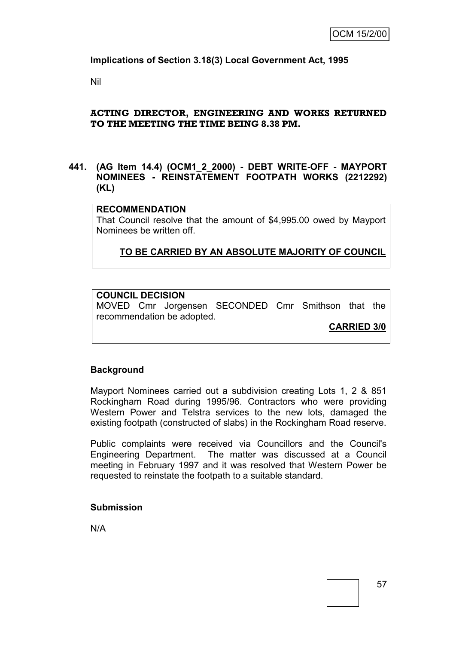**Implications of Section 3.18(3) Local Government Act, 1995**

Nil

## **ACTING DIRECTOR, ENGINEERING AND WORKS RETURNED TO THE MEETING THE TIME BEING 8.38 PM.**

## **441. (AG Item 14.4) (OCM1\_2\_2000) - DEBT WRITE-OFF - MAYPORT NOMINEES - REINSTATEMENT FOOTPATH WORKS (2212292) (KL)**

#### **RECOMMENDATION**

That Council resolve that the amount of \$4,995.00 owed by Mayport Nominees be written off.

**TO BE CARRIED BY AN ABSOLUTE MAJORITY OF COUNCIL**

## **COUNCIL DECISION**

MOVED Cmr Jorgensen SECONDED Cmr Smithson that the recommendation be adopted.

**CARRIED 3/0**

## **Background**

Mayport Nominees carried out a subdivision creating Lots 1, 2 & 851 Rockingham Road during 1995/96. Contractors who were providing Western Power and Telstra services to the new lots, damaged the existing footpath (constructed of slabs) in the Rockingham Road reserve.

Public complaints were received via Councillors and the Council's Engineering Department. The matter was discussed at a Council meeting in February 1997 and it was resolved that Western Power be requested to reinstate the footpath to a suitable standard.

#### **Submission**

N/A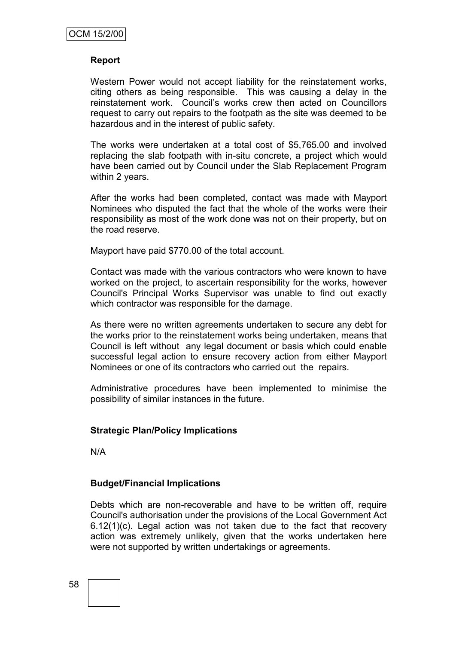## **Report**

Western Power would not accept liability for the reinstatement works, citing others as being responsible. This was causing a delay in the reinstatement work. Council's works crew then acted on Councillors request to carry out repairs to the footpath as the site was deemed to be hazardous and in the interest of public safety.

The works were undertaken at a total cost of \$5,765.00 and involved replacing the slab footpath with in-situ concrete, a project which would have been carried out by Council under the Slab Replacement Program within 2 years.

After the works had been completed, contact was made with Mayport Nominees who disputed the fact that the whole of the works were their responsibility as most of the work done was not on their property, but on the road reserve.

Mayport have paid \$770.00 of the total account.

Contact was made with the various contractors who were known to have worked on the project, to ascertain responsibility for the works, however Council's Principal Works Supervisor was unable to find out exactly which contractor was responsible for the damage.

As there were no written agreements undertaken to secure any debt for the works prior to the reinstatement works being undertaken, means that Council is left without any legal document or basis which could enable successful legal action to ensure recovery action from either Mayport Nominees or one of its contractors who carried out the repairs.

Administrative procedures have been implemented to minimise the possibility of similar instances in the future.

## **Strategic Plan/Policy Implications**

N/A

## **Budget/Financial Implications**

Debts which are non-recoverable and have to be written off, require Council's authorisation under the provisions of the Local Government Act 6.12(1)(c). Legal action was not taken due to the fact that recovery action was extremely unlikely, given that the works undertaken here were not supported by written undertakings or agreements.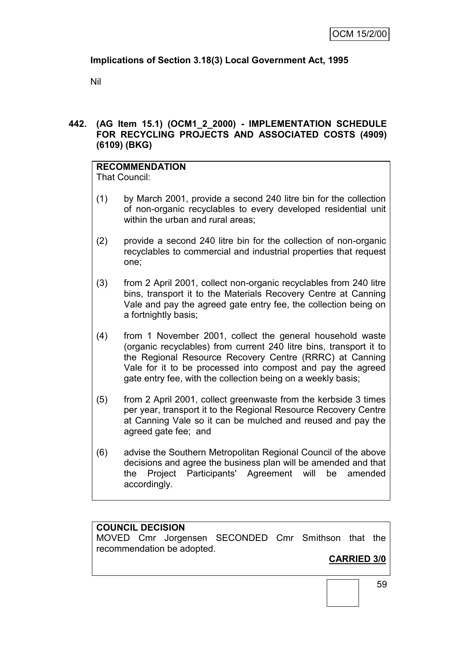# **Implications of Section 3.18(3) Local Government Act, 1995**

Nil

# **442. (AG Item 15.1) (OCM1\_2\_2000) - IMPLEMENTATION SCHEDULE FOR RECYCLING PROJECTS AND ASSOCIATED COSTS (4909) (6109) (BKG)**

# **RECOMMENDATION**

That Council:

- (1) by March 2001, provide a second 240 litre bin for the collection of non-organic recyclables to every developed residential unit within the urban and rural areas;
- (2) provide a second 240 litre bin for the collection of non-organic recyclables to commercial and industrial properties that request one;
- (3) from 2 April 2001, collect non-organic recyclables from 240 litre bins, transport it to the Materials Recovery Centre at Canning Vale and pay the agreed gate entry fee, the collection being on a fortnightly basis;
- (4) from 1 November 2001, collect the general household waste (organic recyclables) from current 240 litre bins, transport it to the Regional Resource Recovery Centre (RRRC) at Canning Vale for it to be processed into compost and pay the agreed gate entry fee, with the collection being on a weekly basis;
- (5) from 2 April 2001, collect greenwaste from the kerbside 3 times per year, transport it to the Regional Resource Recovery Centre at Canning Vale so it can be mulched and reused and pay the agreed gate fee; and
- (6) advise the Southern Metropolitan Regional Council of the above decisions and agree the business plan will be amended and that the Project Participants' Agreement will be amended accordingly.

# **COUNCIL DECISION**

MOVED Cmr Jorgensen SECONDED Cmr Smithson that the recommendation be adopted.

# **CARRIED 3/0**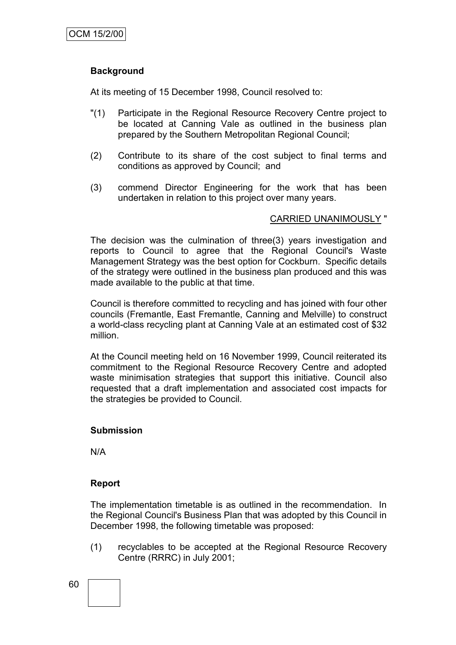# **Background**

At its meeting of 15 December 1998, Council resolved to:

- "(1) Participate in the Regional Resource Recovery Centre project to be located at Canning Vale as outlined in the business plan prepared by the Southern Metropolitan Regional Council;
- (2) Contribute to its share of the cost subject to final terms and conditions as approved by Council; and
- (3) commend Director Engineering for the work that has been undertaken in relation to this project over many years.

## CARRIED UNANIMOUSLY "

The decision was the culmination of three(3) years investigation and reports to Council to agree that the Regional Council's Waste Management Strategy was the best option for Cockburn. Specific details of the strategy were outlined in the business plan produced and this was made available to the public at that time.

Council is therefore committed to recycling and has joined with four other councils (Fremantle, East Fremantle, Canning and Melville) to construct a world-class recycling plant at Canning Vale at an estimated cost of \$32 million.

At the Council meeting held on 16 November 1999, Council reiterated its commitment to the Regional Resource Recovery Centre and adopted waste minimisation strategies that support this initiative. Council also requested that a draft implementation and associated cost impacts for the strategies be provided to Council.

## **Submission**

N/A

## **Report**

The implementation timetable is as outlined in the recommendation. In the Regional Council's Business Plan that was adopted by this Council in December 1998, the following timetable was proposed:

(1) recyclables to be accepted at the Regional Resource Recovery Centre (RRRC) in July 2001;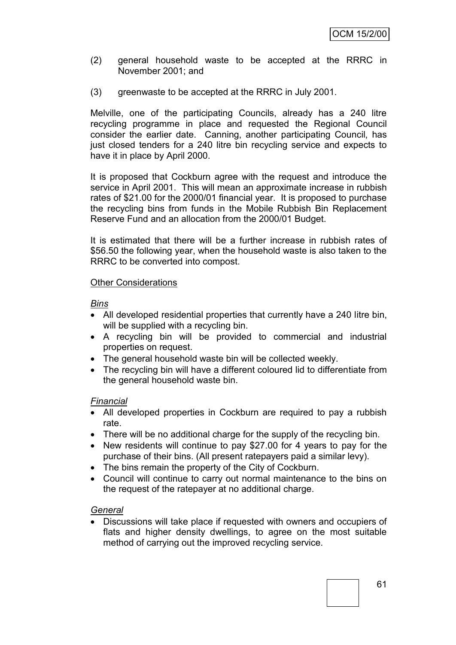- (2) general household waste to be accepted at the RRRC in November 2001; and
- (3) greenwaste to be accepted at the RRRC in July 2001.

Melville, one of the participating Councils, already has a 240 litre recycling programme in place and requested the Regional Council consider the earlier date. Canning, another participating Council, has just closed tenders for a 240 litre bin recycling service and expects to have it in place by April 2000.

It is proposed that Cockburn agree with the request and introduce the service in April 2001. This will mean an approximate increase in rubbish rates of \$21.00 for the 2000/01 financial year. It is proposed to purchase the recycling bins from funds in the Mobile Rubbish Bin Replacement Reserve Fund and an allocation from the 2000/01 Budget.

It is estimated that there will be a further increase in rubbish rates of \$56.50 the following year, when the household waste is also taken to the RRRC to be converted into compost.

#### Other Considerations

#### *Bins*

- All developed residential properties that currently have a 240 litre bin, will be supplied with a recycling bin.
- A recycling bin will be provided to commercial and industrial properties on request.
- The general household waste bin will be collected weekly.
- The recycling bin will have a different coloured lid to differentiate from the general household waste bin.

## *Financial*

- All developed properties in Cockburn are required to pay a rubbish rate.
- There will be no additional charge for the supply of the recycling bin.
- New residents will continue to pay \$27.00 for 4 years to pay for the purchase of their bins. (All present ratepayers paid a similar levy).
- The bins remain the property of the City of Cockburn.
- Council will continue to carry out normal maintenance to the bins on the request of the ratepayer at no additional charge.

## *General*

 Discussions will take place if requested with owners and occupiers of flats and higher density dwellings, to agree on the most suitable method of carrying out the improved recycling service.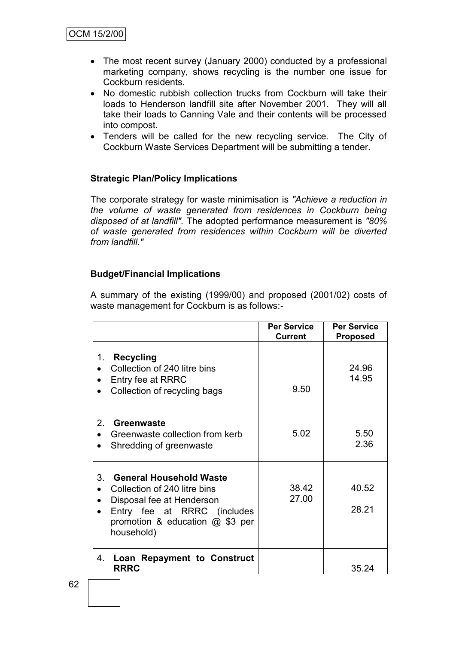- The most recent survey (January 2000) conducted by a professional marketing company, shows recycling is the number one issue for Cockburn residents.
- No domestic rubbish collection trucks from Cockburn will take their loads to Henderson landfill site after November 2001. They will all take their loads to Canning Vale and their contents will be processed into compost.
- Tenders will be called for the new recycling service. The City of Cockburn Waste Services Department will be submitting a tender.

## **Strategic Plan/Policy Implications**

The corporate strategy for waste minimisation is *"Achieve a reduction in the volume of waste generated from residences in Cockburn being disposed of at landfill".* The adopted performance measurement is *"80% of waste generated from residences within Cockburn will be diverted from landfill."*

## **Budget/Financial Implications**

A summary of the existing (1999/00) and proposed (2001/02) costs of waste management for Cockburn is as follows:-

|                                                                                                                                                                                                 | <b>Per Service</b><br><b>Current</b> | <b>Per Service</b><br><b>Proposed</b> |
|-------------------------------------------------------------------------------------------------------------------------------------------------------------------------------------------------|--------------------------------------|---------------------------------------|
| 1.<br>Recycling<br>Collection of 240 litre bins<br>Entry fee at RRRC<br>Collection of recycling bags                                                                                            | 9.50                                 | 24.96<br>14.95                        |
| $2_{-}$<br>Greenwaste<br>Greenwaste collection from kerb<br>Shredding of greenwaste                                                                                                             | 5.02                                 | 5.50<br>2.36                          |
| 3 <sub>1</sub><br><b>General Household Waste</b><br>Collection of 240 litre bins<br>Disposal fee at Henderson<br>Entry fee at RRRC (includes<br>promotion & education $@$ \$3 per<br>household) | 38.42<br>27.00                       | 40.52<br>28.21                        |
| Loan Repayment to Construct<br>4.<br><b>RRRC</b>                                                                                                                                                |                                      | 35.24                                 |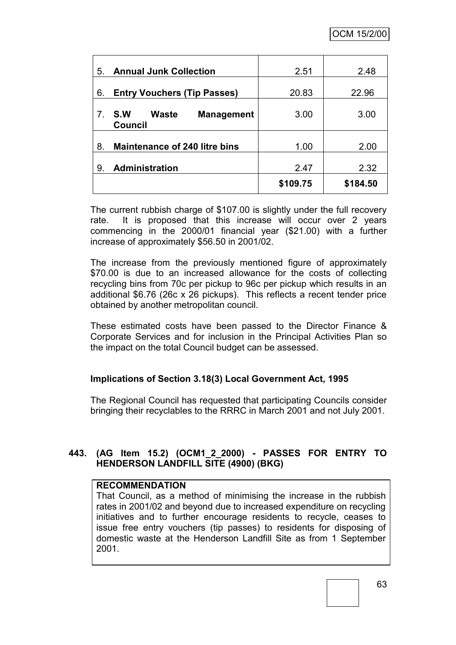| 5.          | <b>Annual Junk Collection</b>                              | 2.51     | 2.48     |
|-------------|------------------------------------------------------------|----------|----------|
| 6.          | <b>Entry Vouchers (Tip Passes)</b>                         | 20.83    | 22.96    |
| $7^{\circ}$ | <b>Waste</b><br>S.W<br><b>Management</b><br><b>Council</b> | 3.00     | 3.00     |
| 8.          | <b>Maintenance of 240 litre bins</b>                       | 1.00     | 2.00     |
| 9.          | Administration                                             | 2.47     | 2.32     |
|             |                                                            | \$109.75 | \$184.50 |

The current rubbish charge of \$107.00 is slightly under the full recovery rate. It is proposed that this increase will occur over 2 years commencing in the 2000/01 financial year (\$21.00) with a further increase of approximately \$56.50 in 2001/02.

The increase from the previously mentioned figure of approximately \$70.00 is due to an increased allowance for the costs of collecting recycling bins from 70c per pickup to 96c per pickup which results in an additional \$6.76 (26c x 26 pickups). This reflects a recent tender price obtained by another metropolitan council.

These estimated costs have been passed to the Director Finance & Corporate Services and for inclusion in the Principal Activities Plan so the impact on the total Council budget can be assessed.

# **Implications of Section 3.18(3) Local Government Act, 1995**

The Regional Council has requested that participating Councils consider bringing their recyclables to the RRRC in March 2001 and not July 2001.

# **443. (AG Item 15.2) (OCM1\_2\_2000) - PASSES FOR ENTRY TO HENDERSON LANDFILL SITE (4900) (BKG)**

## **RECOMMENDATION**

That Council, as a method of minimising the increase in the rubbish rates in 2001/02 and beyond due to increased expenditure on recycling initiatives and to further encourage residents to recycle, ceases to issue free entry vouchers (tip passes) to residents for disposing of domestic waste at the Henderson Landfill Site as from 1 September 2001.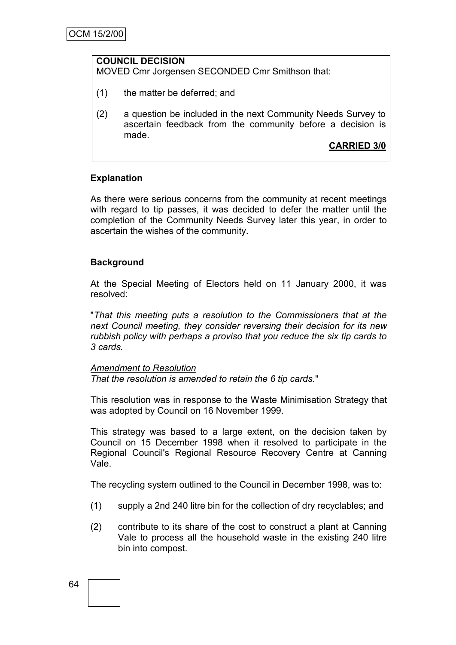#### **COUNCIL DECISION**

MOVED Cmr Jorgensen SECONDED Cmr Smithson that:

- (1) the matter be deferred; and
- (2) a question be included in the next Community Needs Survey to ascertain feedback from the community before a decision is made.

**CARRIED 3/0**

# **Explanation**

As there were serious concerns from the community at recent meetings with regard to tip passes, it was decided to defer the matter until the completion of the Community Needs Survey later this year, in order to ascertain the wishes of the community.

# **Background**

At the Special Meeting of Electors held on 11 January 2000, it was resolved:

"*That this meeting puts a resolution to the Commissioners that at the next Council meeting, they consider reversing their decision for its new rubbish policy with perhaps a proviso that you reduce the six tip cards to 3 cards.* 

#### *Amendment to Resolution*

*That the resolution is amended to retain the 6 tip cards.*"

This resolution was in response to the Waste Minimisation Strategy that was adopted by Council on 16 November 1999.

This strategy was based to a large extent, on the decision taken by Council on 15 December 1998 when it resolved to participate in the Regional Council's Regional Resource Recovery Centre at Canning Vale.

The recycling system outlined to the Council in December 1998, was to:

- (1) supply a 2nd 240 litre bin for the collection of dry recyclables; and
- (2) contribute to its share of the cost to construct a plant at Canning Vale to process all the household waste in the existing 240 litre bin into compost.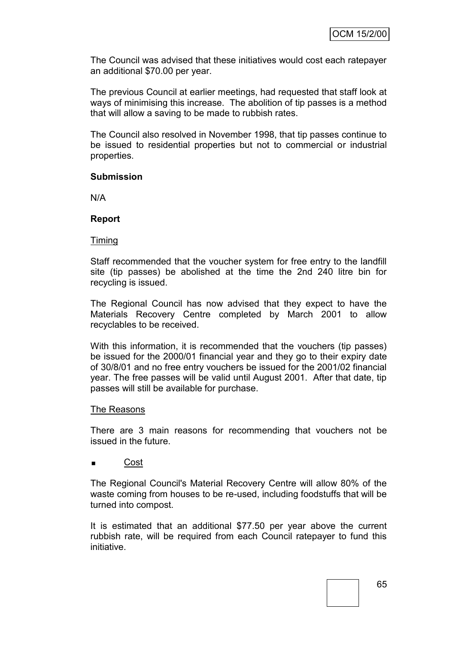The Council was advised that these initiatives would cost each ratepayer an additional \$70.00 per year.

The previous Council at earlier meetings, had requested that staff look at ways of minimising this increase. The abolition of tip passes is a method that will allow a saving to be made to rubbish rates.

The Council also resolved in November 1998, that tip passes continue to be issued to residential properties but not to commercial or industrial properties.

#### **Submission**

N/A

#### **Report**

#### Timing

Staff recommended that the voucher system for free entry to the landfill site (tip passes) be abolished at the time the 2nd 240 litre bin for recycling is issued.

The Regional Council has now advised that they expect to have the Materials Recovery Centre completed by March 2001 to allow recyclables to be received.

With this information, it is recommended that the vouchers (tip passes) be issued for the 2000/01 financial year and they go to their expiry date of 30/8/01 and no free entry vouchers be issued for the 2001/02 financial year. The free passes will be valid until August 2001. After that date, tip passes will still be available for purchase.

#### The Reasons

There are 3 main reasons for recommending that vouchers not be issued in the future.

## Cost

The Regional Council's Material Recovery Centre will allow 80% of the waste coming from houses to be re-used, including foodstuffs that will be turned into compost.

It is estimated that an additional \$77.50 per year above the current rubbish rate, will be required from each Council ratepayer to fund this initiative.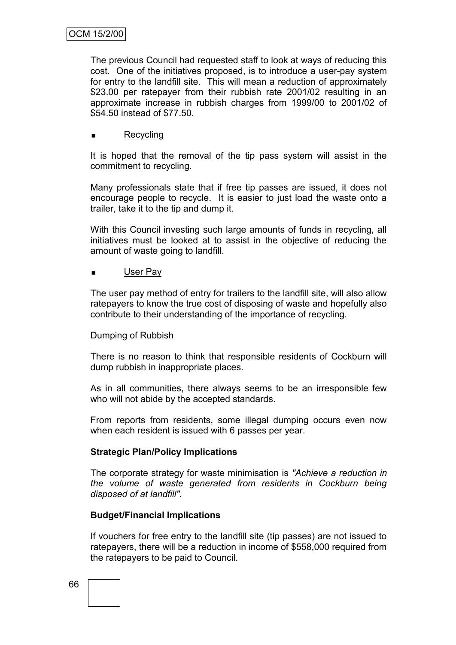The previous Council had requested staff to look at ways of reducing this cost. One of the initiatives proposed, is to introduce a user-pay system for entry to the landfill site. This will mean a reduction of approximately \$23.00 per ratepayer from their rubbish rate 2001/02 resulting in an approximate increase in rubbish charges from 1999/00 to 2001/02 of \$54.50 instead of \$77.50.

## Recycling

It is hoped that the removal of the tip pass system will assist in the commitment to recycling.

Many professionals state that if free tip passes are issued, it does not encourage people to recycle. It is easier to just load the waste onto a trailer, take it to the tip and dump it.

With this Council investing such large amounts of funds in recycling, all initiatives must be looked at to assist in the objective of reducing the amount of waste going to landfill.

#### User Pay

The user pay method of entry for trailers to the landfill site, will also allow ratepayers to know the true cost of disposing of waste and hopefully also contribute to their understanding of the importance of recycling.

#### Dumping of Rubbish

There is no reason to think that responsible residents of Cockburn will dump rubbish in inappropriate places.

As in all communities, there always seems to be an irresponsible few who will not abide by the accepted standards.

From reports from residents, some illegal dumping occurs even now when each resident is issued with 6 passes per year.

## **Strategic Plan/Policy Implications**

The corporate strategy for waste minimisation is *"Achieve a reduction in the volume of waste generated from residents in Cockburn being disposed of at landfill".*

## **Budget/Financial Implications**

If vouchers for free entry to the landfill site (tip passes) are not issued to ratepayers, there will be a reduction in income of \$558,000 required from the ratepayers to be paid to Council.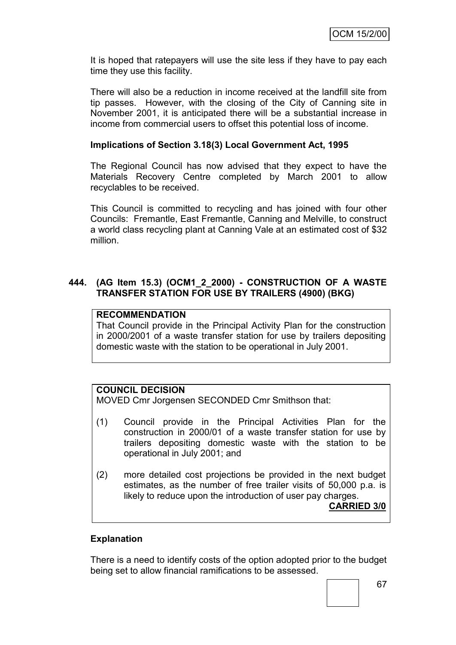It is hoped that ratepayers will use the site less if they have to pay each time they use this facility.

There will also be a reduction in income received at the landfill site from tip passes. However, with the closing of the City of Canning site in November 2001, it is anticipated there will be a substantial increase in income from commercial users to offset this potential loss of income.

#### **Implications of Section 3.18(3) Local Government Act, 1995**

The Regional Council has now advised that they expect to have the Materials Recovery Centre completed by March 2001 to allow recyclables to be received.

This Council is committed to recycling and has joined with four other Councils: Fremantle, East Fremantle, Canning and Melville, to construct a world class recycling plant at Canning Vale at an estimated cost of \$32 million.

#### **444. (AG Item 15.3) (OCM1\_2\_2000) - CONSTRUCTION OF A WASTE TRANSFER STATION FOR USE BY TRAILERS (4900) (BKG)**

## **RECOMMENDATION**

That Council provide in the Principal Activity Plan for the construction in 2000/2001 of a waste transfer station for use by trailers depositing domestic waste with the station to be operational in July 2001.

## **COUNCIL DECISION**

MOVED Cmr Jorgensen SECONDED Cmr Smithson that:

- (1) Council provide in the Principal Activities Plan for the construction in 2000/01 of a waste transfer station for use by trailers depositing domestic waste with the station to be operational in July 2001; and
- (2) more detailed cost projections be provided in the next budget estimates, as the number of free trailer visits of 50,000 p.a. is likely to reduce upon the introduction of user pay charges. **CARRIED 3/0**

#### **Explanation**

There is a need to identify costs of the option adopted prior to the budget being set to allow financial ramifications to be assessed.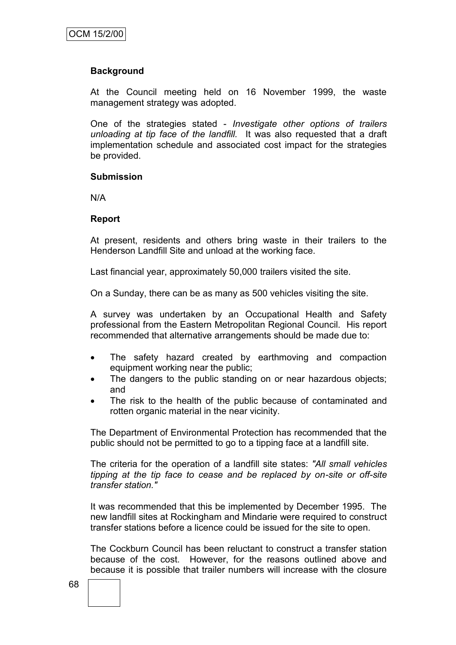## **Background**

At the Council meeting held on 16 November 1999, the waste management strategy was adopted.

One of the strategies stated - *Investigate other options of trailers unloading at tip face of the landfill.* It was also requested that a draft implementation schedule and associated cost impact for the strategies be provided.

#### **Submission**

N/A

#### **Report**

At present, residents and others bring waste in their trailers to the Henderson Landfill Site and unload at the working face.

Last financial year, approximately 50,000 trailers visited the site.

On a Sunday, there can be as many as 500 vehicles visiting the site.

A survey was undertaken by an Occupational Health and Safety professional from the Eastern Metropolitan Regional Council. His report recommended that alternative arrangements should be made due to:

- The safety hazard created by earthmoving and compaction equipment working near the public;
- The dangers to the public standing on or near hazardous objects; and
- The risk to the health of the public because of contaminated and rotten organic material in the near vicinity.

The Department of Environmental Protection has recommended that the public should not be permitted to go to a tipping face at a landfill site.

The criteria for the operation of a landfill site states: *"All small vehicles tipping at the tip face to cease and be replaced by on-site or off-site transfer station."*

It was recommended that this be implemented by December 1995. The new landfill sites at Rockingham and Mindarie were required to construct transfer stations before a licence could be issued for the site to open.

The Cockburn Council has been reluctant to construct a transfer station because of the cost. However, for the reasons outlined above and because it is possible that trailer numbers will increase with the closure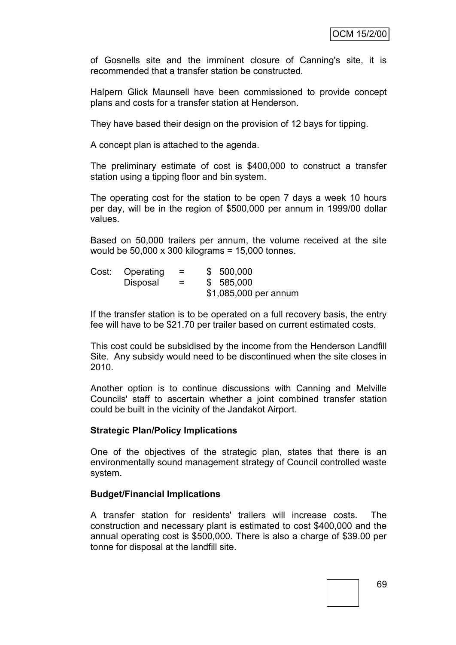of Gosnells site and the imminent closure of Canning's site, it is recommended that a transfer station be constructed.

Halpern Glick Maunsell have been commissioned to provide concept plans and costs for a transfer station at Henderson.

They have based their design on the provision of 12 bays for tipping.

A concept plan is attached to the agenda.

The preliminary estimate of cost is \$400,000 to construct a transfer station using a tipping floor and bin system.

The operating cost for the station to be open 7 days a week 10 hours per day, will be in the region of \$500,000 per annum in 1999/00 dollar values.

Based on 50,000 trailers per annum, the volume received at the site would be 50,000 x 300 kilograms = 15,000 tonnes.

|  | Cost: Operating | $\equiv$ | \$500,000             |
|--|-----------------|----------|-----------------------|
|  | Disposal        | $=$      | \$585,000             |
|  |                 |          | \$1,085,000 per annum |

If the transfer station is to be operated on a full recovery basis, the entry fee will have to be \$21.70 per trailer based on current estimated costs.

This cost could be subsidised by the income from the Henderson Landfill Site. Any subsidy would need to be discontinued when the site closes in 2010.

Another option is to continue discussions with Canning and Melville Councils' staff to ascertain whether a joint combined transfer station could be built in the vicinity of the Jandakot Airport.

#### **Strategic Plan/Policy Implications**

One of the objectives of the strategic plan, states that there is an environmentally sound management strategy of Council controlled waste system.

#### **Budget/Financial Implications**

A transfer station for residents' trailers will increase costs. The construction and necessary plant is estimated to cost \$400,000 and the annual operating cost is \$500,000. There is also a charge of \$39.00 per tonne for disposal at the landfill site.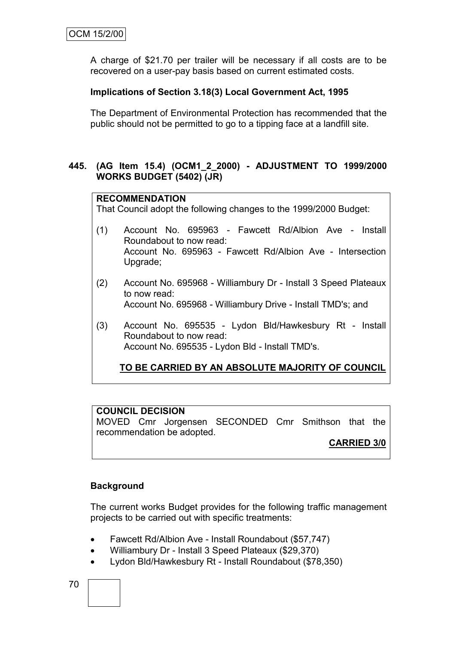A charge of \$21.70 per trailer will be necessary if all costs are to be recovered on a user-pay basis based on current estimated costs.

# **Implications of Section 3.18(3) Local Government Act, 1995**

The Department of Environmental Protection has recommended that the public should not be permitted to go to a tipping face at a landfill site.

### **445. (AG Item 15.4) (OCM1\_2\_2000) - ADJUSTMENT TO 1999/2000 WORKS BUDGET (5402) (JR)**

### **RECOMMENDATION**

That Council adopt the following changes to the 1999/2000 Budget:

- (1) Account No. 695963 Fawcett Rd/Albion Ave Install Roundabout to now read: Account No. 695963 - Fawcett Rd/Albion Ave - Intersection Upgrade;
- (2) Account No. 695968 Williambury Dr Install 3 Speed Plateaux to now read: Account No. 695968 - Williambury Drive - Install TMD's; and
- (3) Account No. 695535 Lydon Bld/Hawkesbury Rt Install Roundabout to now read: Account No. 695535 - Lydon Bld - Install TMD's.

# **TO BE CARRIED BY AN ABSOLUTE MAJORITY OF COUNCIL**

### **COUNCIL DECISION**

MOVED Cmr Jorgensen SECONDED Cmr Smithson that the recommendation be adopted.

# **CARRIED 3/0**

### **Background**

The current works Budget provides for the following traffic management projects to be carried out with specific treatments:

- Fawcett Rd/Albion Ave Install Roundabout (\$57,747)
- Williambury Dr Install 3 Speed Plateaux (\$29,370)
- Lydon Bld/Hawkesbury Rt Install Roundabout (\$78,350)

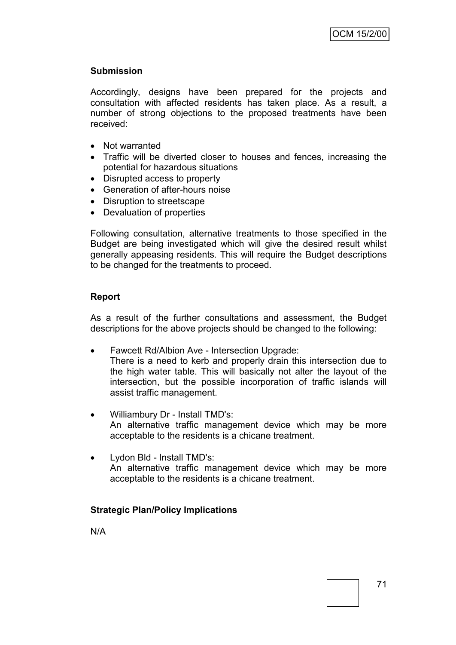### **Submission**

Accordingly, designs have been prepared for the projects and consultation with affected residents has taken place. As a result, a number of strong objections to the proposed treatments have been received:

- Not warranted
- Traffic will be diverted closer to houses and fences, increasing the potential for hazardous situations
- Disrupted access to property
- Generation of after-hours noise
- Disruption to streetscape
- Devaluation of properties

Following consultation, alternative treatments to those specified in the Budget are being investigated which will give the desired result whilst generally appeasing residents. This will require the Budget descriptions to be changed for the treatments to proceed.

# **Report**

As a result of the further consultations and assessment, the Budget descriptions for the above projects should be changed to the following:

• Fawcett Rd/Albion Ave - Intersection Upgrade:

There is a need to kerb and properly drain this intersection due to the high water table. This will basically not alter the layout of the intersection, but the possible incorporation of traffic islands will assist traffic management.

- Williambury Dr Install TMD's: An alternative traffic management device which may be more acceptable to the residents is a chicane treatment.
- Lydon Bld Install TMD's: An alternative traffic management device which may be more acceptable to the residents is a chicane treatment.

### **Strategic Plan/Policy Implications**

N/A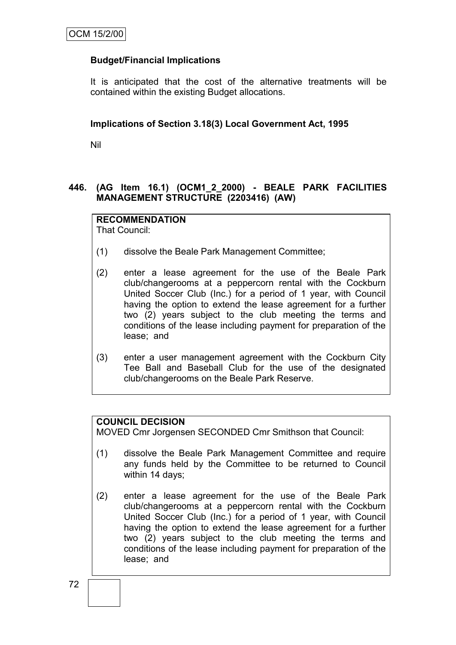# **Budget/Financial Implications**

It is anticipated that the cost of the alternative treatments will be contained within the existing Budget allocations.

#### **Implications of Section 3.18(3) Local Government Act, 1995**

Nil

# **446. (AG Item 16.1) (OCM1\_2\_2000) - BEALE PARK FACILITIES MANAGEMENT STRUCTURE (2203416) (AW)**

### **RECOMMENDATION**

That Council:

- (1) dissolve the Beale Park Management Committee;
- (2) enter a lease agreement for the use of the Beale Park club/changerooms at a peppercorn rental with the Cockburn United Soccer Club (Inc.) for a period of 1 year, with Council having the option to extend the lease agreement for a further two (2) years subject to the club meeting the terms and conditions of the lease including payment for preparation of the lease; and
- (3) enter a user management agreement with the Cockburn City Tee Ball and Baseball Club for the use of the designated club/changerooms on the Beale Park Reserve.

### **COUNCIL DECISION**

MOVED Cmr Jorgensen SECONDED Cmr Smithson that Council:

- (1) dissolve the Beale Park Management Committee and require any funds held by the Committee to be returned to Council within 14 days;
- (2) enter a lease agreement for the use of the Beale Park club/changerooms at a peppercorn rental with the Cockburn United Soccer Club (Inc.) for a period of 1 year, with Council having the option to extend the lease agreement for a further two (2) years subject to the club meeting the terms and conditions of the lease including payment for preparation of the lease; and

72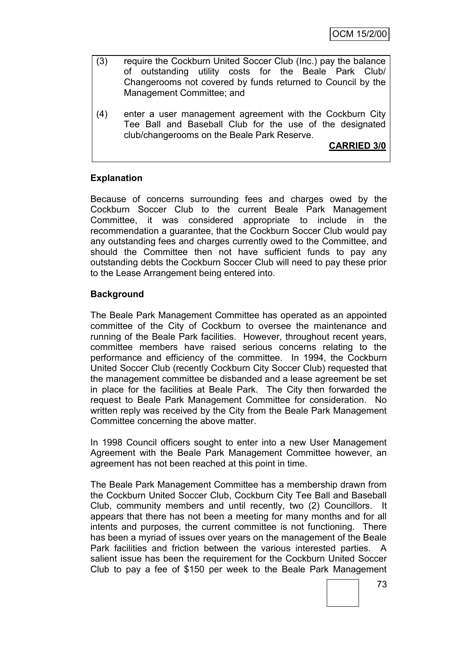- (3) require the Cockburn United Soccer Club (Inc.) pay the balance of outstanding utility costs for the Beale Park Club/ Changerooms not covered by funds returned to Council by the Management Committee; and
- (4) enter a user management agreement with the Cockburn City Tee Ball and Baseball Club for the use of the designated club/changerooms on the Beale Park Reserve.

**CARRIED 3/0**

# **Explanation**

Because of concerns surrounding fees and charges owed by the Cockburn Soccer Club to the current Beale Park Management Committee, it was considered appropriate to include in the recommendation a guarantee, that the Cockburn Soccer Club would pay any outstanding fees and charges currently owed to the Committee, and should the Committee then not have sufficient funds to pay any outstanding debts the Cockburn Soccer Club will need to pay these prior to the Lease Arrangement being entered into.

# **Background**

The Beale Park Management Committee has operated as an appointed committee of the City of Cockburn to oversee the maintenance and running of the Beale Park facilities. However, throughout recent years, committee members have raised serious concerns relating to the performance and efficiency of the committee. In 1994, the Cockburn United Soccer Club (recently Cockburn City Soccer Club) requested that the management committee be disbanded and a lease agreement be set in place for the facilities at Beale Park. The City then forwarded the request to Beale Park Management Committee for consideration. No written reply was received by the City from the Beale Park Management Committee concerning the above matter.

In 1998 Council officers sought to enter into a new User Management Agreement with the Beale Park Management Committee however, an agreement has not been reached at this point in time.

The Beale Park Management Committee has a membership drawn from the Cockburn United Soccer Club, Cockburn City Tee Ball and Baseball Club, community members and until recently, two (2) Councillors. It appears that there has not been a meeting for many months and for all intents and purposes, the current committee is not functioning. There has been a myriad of issues over years on the management of the Beale Park facilities and friction between the various interested parties. A salient issue has been the requirement for the Cockburn United Soccer Club to pay a fee of \$150 per week to the Beale Park Management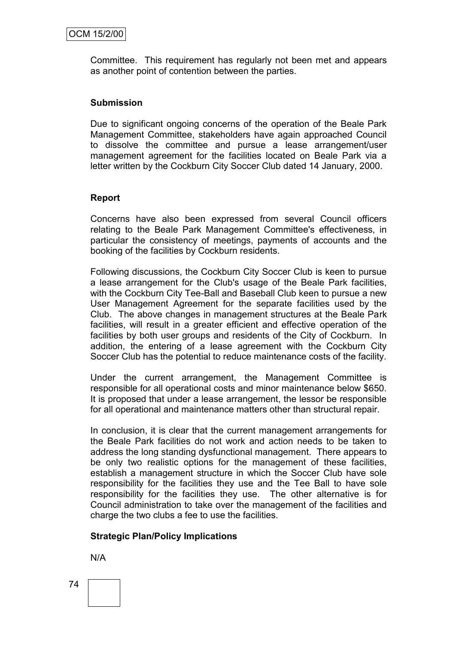Committee. This requirement has regularly not been met and appears as another point of contention between the parties.

#### **Submission**

Due to significant ongoing concerns of the operation of the Beale Park Management Committee, stakeholders have again approached Council to dissolve the committee and pursue a lease arrangement/user management agreement for the facilities located on Beale Park via a letter written by the Cockburn City Soccer Club dated 14 January, 2000.

#### **Report**

Concerns have also been expressed from several Council officers relating to the Beale Park Management Committee's effectiveness, in particular the consistency of meetings, payments of accounts and the booking of the facilities by Cockburn residents.

Following discussions, the Cockburn City Soccer Club is keen to pursue a lease arrangement for the Club's usage of the Beale Park facilities, with the Cockburn City Tee-Ball and Baseball Club keen to pursue a new User Management Agreement for the separate facilities used by the Club. The above changes in management structures at the Beale Park facilities, will result in a greater efficient and effective operation of the facilities by both user groups and residents of the City of Cockburn. In addition, the entering of a lease agreement with the Cockburn City Soccer Club has the potential to reduce maintenance costs of the facility.

Under the current arrangement, the Management Committee is responsible for all operational costs and minor maintenance below \$650. It is proposed that under a lease arrangement, the lessor be responsible for all operational and maintenance matters other than structural repair.

In conclusion, it is clear that the current management arrangements for the Beale Park facilities do not work and action needs to be taken to address the long standing dysfunctional management. There appears to be only two realistic options for the management of these facilities, establish a management structure in which the Soccer Club have sole responsibility for the facilities they use and the Tee Ball to have sole responsibility for the facilities they use. The other alternative is for Council administration to take over the management of the facilities and charge the two clubs a fee to use the facilities.

### **Strategic Plan/Policy Implications**

N/A

74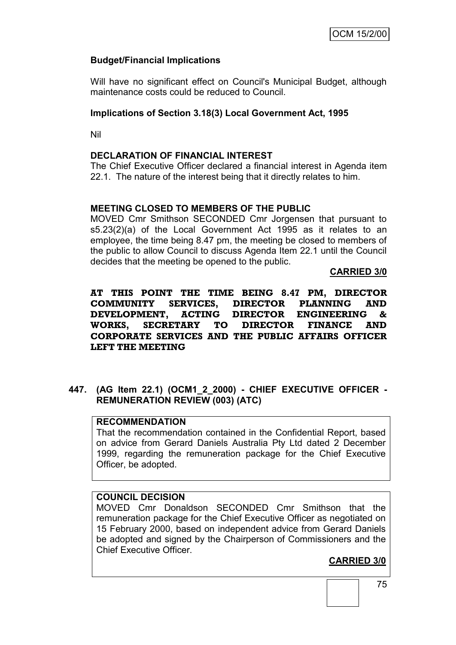# **Budget/Financial Implications**

Will have no significant effect on Council's Municipal Budget, although maintenance costs could be reduced to Council.

### **Implications of Section 3.18(3) Local Government Act, 1995**

Nil

### **DECLARATION OF FINANCIAL INTEREST**

The Chief Executive Officer declared a financial interest in Agenda item 22.1. The nature of the interest being that it directly relates to him.

### **MEETING CLOSED TO MEMBERS OF THE PUBLIC**

MOVED Cmr Smithson SECONDED Cmr Jorgensen that pursuant to s5.23(2)(a) of the Local Government Act 1995 as it relates to an employee, the time being 8.47 pm, the meeting be closed to members of the public to allow Council to discuss Agenda Item 22.1 until the Council decides that the meeting be opened to the public.

#### **CARRIED 3/0**

**AT THIS POINT THE TIME BEING 8.47 PM, DIRECTOR COMMUNITY SERVICES, DIRECTOR PLANNING AND DEVELOPMENT, ACTING DIRECTOR ENGINEERING & WORKS, SECRETARY TO DIRECTOR FINANCE AND CORPORATE SERVICES AND THE PUBLIC AFFAIRS OFFICER LEFT THE MEETING**

**447. (AG Item 22.1) (OCM1\_2\_2000) - CHIEF EXECUTIVE OFFICER - REMUNERATION REVIEW (003) (ATC)**

### **RECOMMENDATION**

That the recommendation contained in the Confidential Report, based on advice from Gerard Daniels Australia Pty Ltd dated 2 December 1999, regarding the remuneration package for the Chief Executive Officer, be adopted.

### **COUNCIL DECISION**

MOVED Cmr Donaldson SECONDED Cmr Smithson that the remuneration package for the Chief Executive Officer as negotiated on 15 February 2000, based on independent advice from Gerard Daniels be adopted and signed by the Chairperson of Commissioners and the Chief Executive Officer.

# **CARRIED 3/0**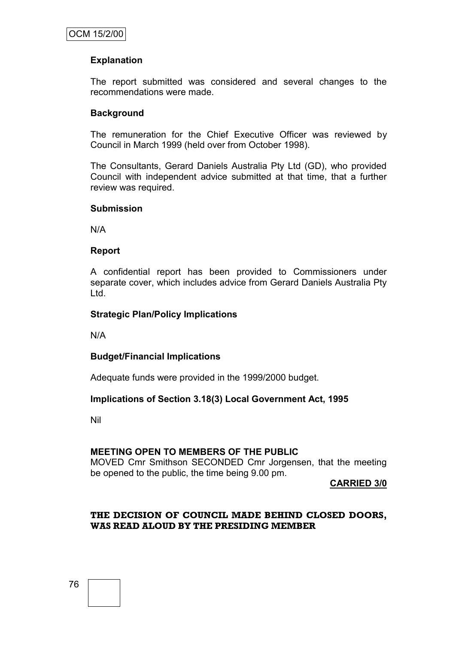# **Explanation**

The report submitted was considered and several changes to the recommendations were made.

### **Background**

The remuneration for the Chief Executive Officer was reviewed by Council in March 1999 (held over from October 1998).

The Consultants, Gerard Daniels Australia Pty Ltd (GD), who provided Council with independent advice submitted at that time, that a further review was required.

#### **Submission**

N/A

#### **Report**

A confidential report has been provided to Commissioners under separate cover, which includes advice from Gerard Daniels Australia Pty Ltd.

#### **Strategic Plan/Policy Implications**

N/A

### **Budget/Financial Implications**

Adequate funds were provided in the 1999/2000 budget.

### **Implications of Section 3.18(3) Local Government Act, 1995**

Nil

### **MEETING OPEN TO MEMBERS OF THE PUBLIC**

MOVED Cmr Smithson SECONDED Cmr Jorgensen, that the meeting be opened to the public, the time being 9.00 pm.

**CARRIED 3/0**

### **THE DECISION OF COUNCIL MADE BEHIND CLOSED DOORS, WAS READ ALOUD BY THE PRESIDING MEMBER**